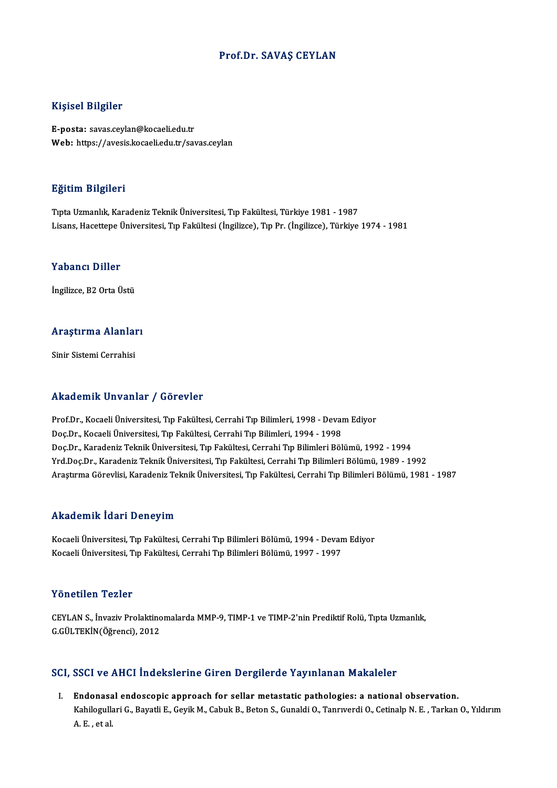### Prof.Dr. SAVAŞ CEYLAN

### Kişisel Bilgiler

E-posta: savas.ceylan@kocaeli.edu.tr Web: https://avesis.kocaeli.edu.tr/savas.ceylan

#### Eğitim Bilgileri

TıptaUzmanlık,KaradenizTeknikÜniversitesi,Tıp Fakültesi,Türkiye 1981 -1987 Lisans, Hacettepe Üniversitesi, Tıp Fakültesi (İngilizce), Tıp Pr. (İngilizce), Türkiye 1974 - 1981

### Yabancı Diller

İngilizce, B2 Orta Üstü

# ingilizce, B2 orta ostu<br>Araştırma Alanları A<mark>raştırma Alanlaı</mark><br>Sinir Sistemi Cerrahisi

# Akademik Unvanlar / Görevler

Akademik Unvanlar / Görevler<br>Prof.Dr., Kocaeli Üniversitesi, Tıp Fakültesi, Cerrahi Tıp Bilimleri, 1998 - Devam Ediyor<br>Des.Dr., Kosaeli Üniversitesi, Tıp Fakültesi, Cerrahi Tıp Bilimleri, 1994, 1998 rrittat orinin Sinvanian 7 - der svier<br>Prof.Dr., Kocaeli Üniversitesi, Tıp Fakültesi, Cerrahi Tıp Bilimleri, 1998 - Devai<br>Doc.Dr., Kocaeli Üniversitesi, Tıp Fakültesi, Cerrahi Tıp Bilimleri, 1994 - 1998<br>Doc.Dr., Koradoniz Doç.Dr., Kocaeli Üniversitesi, Tıp Fakültesi, Cerrahi Tıp Bilimleri, 1994 - 1998<br>Doç.Dr., Karadeniz Teknik Üniversitesi, Tıp Fakültesi, Cerrahi Tıp Bilimleri Bölümü, 1992 - 1994 Yrd.Doç.Dr.,KaradenizTeknikÜniversitesi,Tıp Fakültesi,CerrahiTıpBilimleriBölümü,1989 -1992 Araştırma Görevlisi, Karadeniz Teknik Üniversitesi, Tıp Fakültesi, Cerrahi Tıp Bilimleri Bölümü, 1981 - 1987

#### Akademik İdari Deneyim

Akademik İdari Deneyim<br>Kocaeli Üniversitesi, Tıp Fakültesi, Cerrahi Tıp Bilimleri Bölümü, 1994 - Devam Ediyor<br>Kosaeli Üniversitesi, Tıp Fakültesi, Cerrahi Tıp Bilimleri Bölümü, 1997, 1997 rrkuu enrik Tuur Poenoy III.<br>Kocaeli Üniversitesi, Tıp Fakültesi, Cerrahi Tıp Bilimleri Bölümü, 1994 - Devan<br>Kocaeli Üniversitesi, Tıp Fakültesi, Cerrahi Tıp Bilimleri Bölümü, 1997 - 1997 Kocaeli Üniversitesi, Tıp Fakültesi, Cerrahi Tıp Bilimleri Bölümü, 1997 - 1997<br>Yönetilen Tezler

CEYLAN S., İnvaziv Prolaktinomalarda MMP-9, TIMP-1 ve TIMP-2'nin Prediktif Rolü, Tıpta Uzmanlık, G.GÜLTEKİN(Öğrenci),2012

### SCI, SSCI ve AHCI İndekslerine Giren Dergilerde Yayınlanan Makaleler

I. Endonasal endoscopic approach for sellar metastatic pathologies: a national observation. BBST VE TITST INGENBIETINE GITEN BETSIETGE TAJ INGHAN TIGRAIETEI<br>Endonasal endoscopic approach for sellar metastatic pathologies: a national observation.<br>Kahilogullari G., Bayatli E., Geyik M., Cabuk B., Beton S., Gunaldi <mark>Endonas</mark>a<br>Kahilogulla<br>A. E. , et al.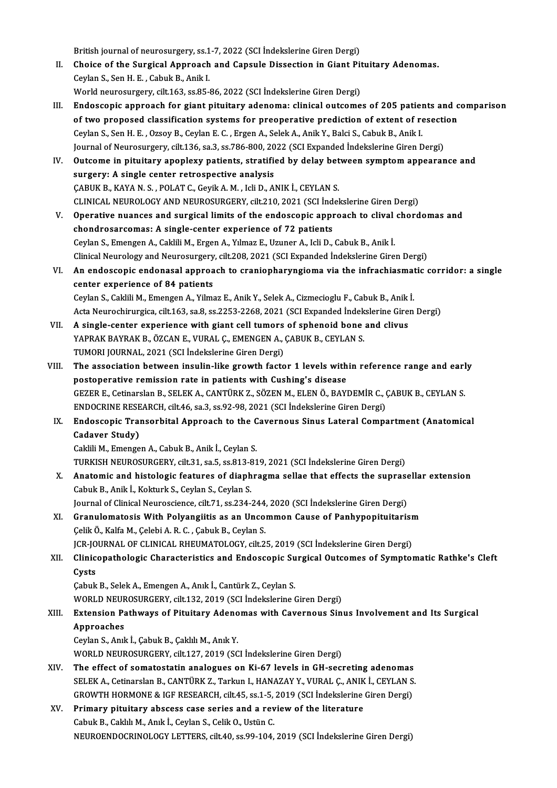British journal of neurosurgery, ss.1-7, 2022 (SCI İndekslerine Giren Dergi)

- British journal of neurosurgery, ss.1-7, 2022 (SCI İndekslerine Giren Dergi)<br>II. Choice of the Surgical Approach and Capsule Dissection in Giant Pituitary Adenomas. British journal of neurosurgery, ss.1<br>Choice of the Surgical Approach<br>Ceylan S., Sen H. E. , Cabuk B., Anik I.<br>World neurosurgery, silt 163, so 85. Choice of the Surgical Approach and Capsule Dissection in Giant Pit<br>Ceylan S., Sen H. E. , Cabuk B., Anik I.<br>World neurosurgery, cilt.163, ss.85-86, 2022 (SCI İndekslerine Giren Dergi)<br>Endessenis annuasab far siant nitujta
- Ceylan S., Sen H. E. , Cabuk B., Anik I.<br>World neurosurgery, cilt.163, ss.85-86, 2022 (SCI Indekslerine Giren Dergi)<br>III. Endoscopic approach for giant pituitary adenoma: clinical outcomes of 205 patients and comparison<br>of World neurosurgery, cilt.163, ss.85-86, 2022 (SCI İndekslerine Giren Dergi)<br>Endoscopic approach for giant pituitary adenoma: clinical outcomes of 205 patients and c<br>of two proposed classification systems for preoperative p Endoscopic approach for giant pituitary adenoma: clinical outcomes of 205 patienties of two proposed classification systems for preoperative prediction of extent of recylan S., Sen H. E. , Ozsoy B., Ceylan E. C. , Ergen A. of two proposed classification systems for preoperative prediction of extent of resection<br>Ceylan S., Sen H. E. , Ozsoy B., Ceylan E. C. , Ergen A., Selek A., Anik Y., Balci S., Cabuk B., Anik I.<br>Journal of Neurosurgery, ci Ceylan S., Sen H. E. , Ozsoy B., Ceylan E. C. , Ergen A., Selek A., Anik Y., Balci S., Cabuk B., Anik I.<br>Journal of Neurosurgery, cilt.136, sa.3, ss.786-800, 2022 (SCI Expanded Indekslerine Giren Dergi)<br>IV. Outcome in pitu
- surgery: A single center retrospective analysis<br>CABUK B., KAYA N. S., POLAT C., Geyik A. M., Icli D., ANIK İ., CEYLAN S. Outcome in pituitary apoplexy patients, stratified by delay bet<br>surgery: A single center retrospective analysis<br>ÇABUK B., KAYA N. S. , POLAT C., Geyik A. M. , Icli D., ANIK İ., CEYLAN S.<br>CLINICAL NEUPOLOCY AND NEUPOSUPCERY CLINICAL NEUROLOGY AND NEUROSURGERY, cilt.210, 2021 (SCI İndekslerine Giren Dergi) CABUK B., KAYA N. S. , POLAT C., Geyik A. M. , Icli D., ANIK İ., CEYLAN S.<br>CLINICAL NEUROLOGY AND NEUROSURGERY, cilt.210, 2021 (SCI İndekslerine Giren Dergi)<br>V. Operative nuances and surgical limits of the endoscopic appro
- chondrosarcomas: A single-center experience of 72 patients Operative nuances and surgical limits of the endoscopic approach to clival<br>chondrosarcomas: A single-center experience of 72 patients<br>Ceylan S., Emengen A., Caklili M., Ergen A., Yılmaz E., Uzuner A., Icli D., Cabuk B., An Clinical Neurology and Neurosurgery, cilt.208, 2021 (SCI Expanded İndekslerine Giren Dergi) Ceylan S., Emengen A., Caklili M., Ergen A., Yılmaz E., Uzuner A., Icli D., Cabuk B., Anik İ.<br>Clinical Neurology and Neurosurgery, cilt.208, 2021 (SCI Expanded İndekslerine Giren Dergi)<br>VI. An endoscopic endonasal approach
- Clinical Neurology and Neurosurgery<br>An endoscopic endonasal approa<br>center experience of 84 patients<br>Ceulan S. Celdili M. Emengen A. Vilme An endoscopic endonasal approach to craniopharyngioma via the infrachiasmat<br>center experience of 84 patients<br>Ceylan S., Caklili M., Emengen A., Yilmaz E., Anik Y., Selek A., Cizmecioglu F., Cabuk B., Anik İ.<br>Asta Nauvashim center experience of 84 patients<br>Ceylan S., Caklili M., Emengen A., Yilmaz E., Anik Y., Selek A., Cizmecioglu F., Cabuk B., Anik İ.<br>Acta Neurochirurgica, cilt.163, sa.8, ss.2253-2268, 2021 (SCI Expanded İndekslerine Giren Ceylan S., Caklili M., Emengen A., Yilmaz E., Anik Y., Selek A., Cizmecioglu F., Cabuk B., Anik<br>Acta Neurochirurgica, cilt.163, sa.8, ss.2253-2268, 2021 (SCI Expanded Indekslerine Gire:<br>VII. A single-center experience with
	-
- Acta Neurochirurgica, cilt.163, sa.8, ss.2253-2268, 2021 (SCI Expanded İndek<br>A single-center experience with giant cell tumors of sphenoid bone<br>YAPRAK BAYRAK B., ÖZCAN E., VURAL Ç., EMENGEN A., ÇABUK B., CEYLAN S.<br>TUMORLIQ VII. A single-center experience with giant cell tumors of sphenoid bone and clivus<br>YAPRAK BAYRAK B., ÖZCAN E., VURAL Ç., EMENGEN A., ÇABUK B., CEYLAN S.<br>TUMORI JOURNAL, 2021 (SCI İndekslerine Giren Dergi)
- YAPRAK BAYRAK B., ÖZCAN E., VURAL Ç., EMENGEN A., ÇABUK B., CEYLAN S.<br>TUMORI JOURNAL, 2021 (SCI İndekslerine Giren Dergi)<br>VIII. The association between insulin-like growth factor 1 levels within reference range and early<br>n TUMORI JOURNAL, 2021 (SCI İndekslerine Giren Dergi)<br>The association between insulin-like growth factor 1 levels with<br>postoperative remission rate in patients with Cushing's disease<br>CEZER E. Cotinarson B. SELEKA, CANTÜRKZ, The association between insulin-like growth factor 1 levels within reference range and earl<br>postoperative remission rate in patients with Cushing's disease<br>GEZER E., Cetinarslan B., SELEK A., CANTÜRK Z., SÖZEN M., ELEN Ö., postoperative remission rate in patients with Cushing's disease<br>GEZER E., Cetinarslan B., SELEK A., CANTÜRK Z., SÖZEN M., ELEN Ö., BAYDEMİR C., (<br>ENDOCRINE RESEARCH, cilt.46, sa.3, ss.92-98, 2021 (SCI İndekslerine Giren De GEZER E., Cetinarslan B., SELEK A., CANTÜRK Z., SÖZEN M., ELEN Ö., BAYDEMİR C., ÇABUK B., CEYLAN S.<br>ENDOCRINE RESEARCH, cilt.46, sa.3, ss.92-98, 2021 (SCI İndekslerine Giren Dergi)<br>IX. Endoscopic Transorbital Approach to t
- ENDOCRINE RESEARCH, cilt.46, sa.3, ss.92-98, 2021 (SCI Indekslerine Giren Dergi)<br>Endoscopic Transorbital Approach to the Cavernous Sinus Lateral Comp.<br>Cadaver Study)<br>Caklili M., Emengen A., Cabuk B., Anik I., Ceylan S. IX. Endoscopic Transorbital Approach to the Cavernous Sinus Lateral Compartment (Anatomical

TURKISH NEUROSURGERY, cilt.31, sa.5, ss.813-819, 2021 (SCI İndekslerine Giren Dergi)

- Caklili M., Emengen A., Cabuk B., Anik İ., Ceylan S.<br>TURKISH NEUROSURGERY, cilt.31, sa.5, ss.813-819, 2021 (SCI İndekslerine Giren Dergi)<br>X. Anatomic and histologic features of diaphragma sellae that effects the suprasella TURKISH NEUROSURGERY, cilt.31, sa.5, ss.813-8<br>Anatomic and histologic features of diaph<br>Cabuk B., Anik İ., Kokturk S., Ceylan S., Ceylan S.<br>Journal of Clinical Nourossiance, silt.71, ss.234 Anatomic and histologic features of diaphragma sellae that effects the suprase<br>Cabuk B., Anik İ., Kokturk S., Ceylan S., Ceylan S.<br>Journal of Clinical Neuroscience, cilt.71, ss.234-244, 2020 (SCI İndekslerine Giren Dergi)<br> Cabuk B., Anik İ., Kokturk S., Ceylan S., Ceylan S.<br>Journal of Clinical Neuroscience, cilt.71, ss.234-244, 2020 (SCI İndekslerine Giren Dergi)<br>XI. Granulomatosis With Polyangiitis as an Uncommon Cause of Panhypopituitarism
- Journal of Clinical Neuroscience, cilt.71, ss.234-244<br>Granulomatosis With Polyangiitis as an Unco:<br>Çelik Ö., Kalfa M., Çelebi A. R. C. , Çabuk B., Ceylan S.<br>JCP JOUPNAL OF CLINICAL PHEUMATOLOGY, silt 2 Granulomatosis With Polyangiitis as an Uncommon Cause of Panhypopituitarisr<br>Çelik Ö., Kalfa M., Çelebi A. R. C. , Çabuk B., Ceylan S.<br>JCR-JOURNAL OF CLINICAL RHEUMATOLOGY, cilt.25, 2019 (SCI İndekslerine Giren Dergi)<br>Clini Celik Ö., Kalfa M., Çelebi A. R. C. , Çabuk B., Ceylan S.<br>JCR-JOURNAL OF CLINICAL RHEUMATOLOGY, cilt.25, 2019 (SCI İndekslerine Giren Dergi)<br>XII. Clinicopathologic Characteristics and Endoscopic Surgical Outcomes of Sy
- JCR-JOURNAL OF CLINICAL RHEUMATOLOGY, cilt.25, 2019 (SCI İndekslerine Giren Dergi)<br>Clinicopathologic Characteristics and Endoscopic Surgical Outcomes of Sympto<br>Cysts<br>Cabuk B., Selek A., Emengen A., Anık İ., Cantürk Z., Cey Clinicopathologic Characteristics and Endoscopic Su<br>Cysts<br>Çabuk B., Selek A., Emengen A., Anık İ., Cantürk Z., Ceylan S.<br>WORLD NEUROSURCERY silt 122, 2019 (SCL İndekslerine (

Cysts<br>Çabuk B., Selek A., Emengen A., Anık İ., Cantürk Z., Ceylan S.<br>WORLD NEUROSURGERY, cilt.132, 2019 (SCI İndekslerine Giren Dergi)<br>Extension Pathways of Bitujtany Adanomas with Cayonnous Sin

# Cabuk B., Selek A., Emengen A., Anık İ., Cantürk Z., Ceylan S.<br>WORLD NEUROSURGERY, cilt.132, 2019 (SCI İndekslerine Giren Dergi)<br>XIII. Extension Pathways of Pituitary Adenomas with Cavernous Sinus Involvement and Its S WORLD NEUF<br>Extension Pa<br>Approaches<br>Cevlan S. Apri Extension Pathways of Pituitary Adeno<br>Approaches<br>Ceylan S., Anık İ., Çabuk B., Çaklılı M., Anık Y.<br>WORLD NEUROSURCERY, silt 127, 2019 (SC

Approaches<br>Ceylan S., Anık İ., Çabuk B., Çaklılı M., Anık Y.<br>WORLD NEUROSURGERY, cilt.127, 2019 (SCI İndekslerine Giren Dergi)

- XIV. The effect of somatostatin analogues on Ki-67 levels in GH-secreting adenomas SELEK A., Cetinarslan B., CANTÜRK Z., Tarkun I., HANAZAY Y., VURAL Ç., ANIK İ., CEYLAN S. The effect of somatostatin analogues on Ki-67 levels in GH-secreting adenomas<br>SELEK A., Cetinarslan B., CANTÜRK Z., Tarkun I., HANAZAY Y., VURAL Ç., ANIK İ., CEYLAN S<br>GROWTH HORMONE & IGF RESEARCH, cilt.45, ss.1-5, 2019 (S SELEK A., Cetinarslan B., CANTÜRK Z., Tarkun I., HANAZAY Y., VURAL Ç., ANIK<br>GROWTH HORMONE & IGF RESEARCH, cilt.45, ss.1-5, 2019 (SCI indekslerine<br>XV. Primary pituitary abscess case series and a review of the literature<br>Ce
- GROWTH HORMONE & IGF RESEARCH, cilt.45, ss.1-5,<br>Primary pituitary abscess case series and a rev<br>Cabuk B., Caklılı M., Anık İ., Ceylan S., Celik O., Ustün C.<br>NEUPOENDOCPINOLOCY LETTERS, silt.40, ss.99, 104 Primary pituitary abscess case series and a review of the literature<br>Cabuk B., Caklılı M., Anık İ., Ceylan S., Celik O., Ustün C.<br>NEUROENDOCRINOLOGY LETTERS, cilt.40, ss.99-104, 2019 (SCI İndekslerine Giren Dergi)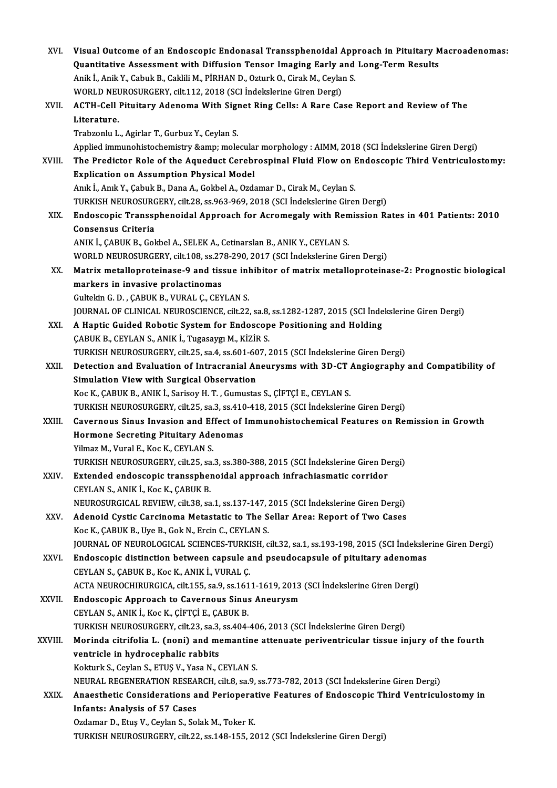| XVI.         | Visual Outcome of an Endoscopic Endonasal Transsphenoidal Approach in Pituitary Macroadenomas:           |
|--------------|----------------------------------------------------------------------------------------------------------|
|              | Quantitative Assessment with Diffusion Tensor Imaging Early and Long-Term Results                        |
|              | Anik İ., Anik Y., Cabuk B., Caklili M., PİRHAN D., Ozturk O., Cirak M., Ceylan S.                        |
|              | WORLD NEUROSURGERY, cilt.112, 2018 (SCI İndekslerine Giren Dergi)                                        |
| XVII.        | ACTH-Cell Pituitary Adenoma With Signet Ring Cells: A Rare Case Report and Review of The                 |
|              | Literature.                                                                                              |
|              | Trabzonlu L., Agirlar T., Gurbuz Y., Ceylan S.                                                           |
|              | Applied immunohistochemistry & molecular morphology : AIMM, 2018 (SCI İndekslerine Giren Dergi)          |
| XVIII.       | The Predictor Role of the Aqueduct Cerebrospinal Fluid Flow on Endoscopic Third Ventriculostomy:         |
|              | Explication on Assumption Physical Model                                                                 |
|              | Anık İ., Anık Y., Çabuk B., Dana A., Gokbel A., Ozdamar D., Cirak M., Ceylan S.                          |
|              | TURKISH NEUROSURGERY, cilt.28, ss.963-969, 2018 (SCI İndekslerine Giren Dergi)                           |
| XIX.         | Endoscopic Transsphenoidal Approach for Acromegaly with Remission Rates in 401 Patients: 2010            |
|              | Consensus Criteria                                                                                       |
|              | ANIK İ., ÇABUK B., Gokbel A., SELEK A., Cetinarslan B., ANIK Y., CEYLAN S.                               |
|              | WORLD NEUROSURGERY, cilt.108, ss.278-290, 2017 (SCI İndekslerine Giren Dergi)                            |
| XX.          | Matrix metalloproteinase-9 and tissue inhibitor of matrix metalloproteinase-2: Prognostic biological     |
|              | markers in invasive prolactinomas                                                                        |
|              | Gultekin G. D., ÇABUK B., VURAL Ç., CEYLAN S.                                                            |
|              | JOURNAL OF CLINICAL NEUROSCIENCE, cilt.22, sa.8, ss.1282-1287, 2015 (SCI İndekslerine Giren Dergi)       |
| XXI.         | A Haptic Guided Robotic System for Endoscope Positioning and Holding                                     |
|              | ÇABUK B., CEYLAN S., ANIK İ., Tugasaygı M., KİZİR S.                                                     |
|              | TURKISH NEUROSURGERY, cilt.25, sa.4, ss.601-607, 2015 (SCI İndekslerine Giren Dergi)                     |
| XXII.        | Detection and Evaluation of Intracranial Aneurysms with 3D-CT Angiography and Compatibility of           |
|              | Simulation View with Surgical Observation                                                                |
|              | Koc K., ÇABUK B., ANIK İ., Sarisoy H. T., Gumustas S., ÇİFTÇİ E., CEYLAN S.                              |
|              | TURKISH NEUROSURGERY, cilt.25, sa.3, ss.410-418, 2015 (SCI İndekslerine Giren Dergi)                     |
| XXIII.       | Cavernous Sinus Invasion and Effect of Immunohistochemical Features on Remission in Growth               |
|              | Hormone Secreting Pituitary Adenomas                                                                     |
|              | Yilmaz M., Vural E., Koc K., CEYLAN S.                                                                   |
|              | TURKISH NEUROSURGERY, cilt.25, sa.3, ss.380-388, 2015 (SCI İndekslerine Giren Dergi)                     |
| XXIV.        | Extended endoscopic transsphenoidal approach infrachiasmatic corridor                                    |
|              | CEYLAN S., ANIK I., Koc K., CABUK B.                                                                     |
|              | NEUROSURGICAL REVIEW, cilt.38, sa.1, ss.137-147, 2015 (SCI Indekslerine Giren Dergi)                     |
| XXV.         | Adenoid Cystic Carcinoma Metastatic to The Sellar Area: Report of Two Cases                              |
|              | Koc K., ÇABUK B., Uye B., Gok N., Ercin C., CEYLAN S.                                                    |
|              | JOURNAL OF NEUROLOGICAL SCIENCES-TURKISH, cilt.32, sa.1, ss.193-198, 2015 (SCI İndekslerine Giren Dergi) |
| XXVI.        | Endoscopic distinction between capsule and pseudocapsule of pituitary adenomas                           |
|              | CEYLAN S., ÇABUK B., Koc K., ANIK İ., VURAL Ç.                                                           |
|              | ACTA NEUROCHIRURGICA, cilt.155, sa.9, ss.1611-1619, 2013 (SCI İndekslerine Giren Dergi)                  |
| <b>XXVII</b> | <b>Endoscopic Approach to Cavernous Sinus Aneurysm</b>                                                   |
|              | CEYLAN S., ANIK İ., Koc K., ÇİFTÇİ E., ÇABUK B.                                                          |
|              | TURKISH NEUROSURGERY, cilt.23, sa.3, ss.404-406, 2013 (SCI İndekslerine Giren Dergi)                     |
| XXVIII.      | Morinda citrifolia L. (noni) and memantine attenuate periventricular tissue injury of the fourth         |
|              | ventricle in hydrocephalic rabbits                                                                       |
|              | Kokturk S., Ceylan S., ETUŞ V., Yasa N., CEYLAN S.                                                       |
|              | NEURAL REGENERATION RESEARCH, cilt.8, sa.9, ss.773-782, 2013 (SCI İndekslerine Giren Dergi)              |
| XXIX.        | Anaesthetic Considerations and Perioperative Features of Endoscopic Third Ventriculostomy in             |
|              | <b>Infants: Analysis of 57 Cases</b>                                                                     |
|              | Ozdamar D., Etuş V., Ceylan S., Solak M., Toker K.                                                       |
|              | TURKISH NEUROSURGERY, cilt.22, ss.148-155, 2012 (SCI İndekslerine Giren Dergi)                           |
|              |                                                                                                          |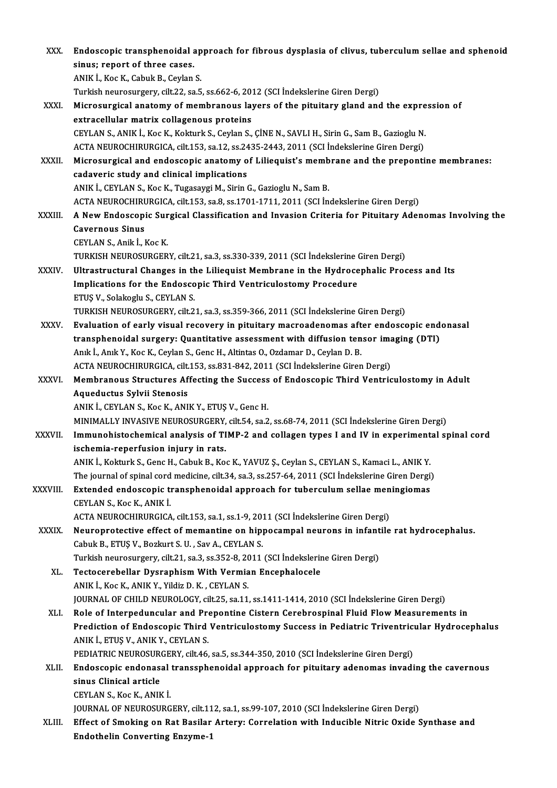| XXX.          | Endoscopic transphenoidal approach for fibrous dysplasia of clivus, tuberculum sellae and sphenoid  |
|---------------|-----------------------------------------------------------------------------------------------------|
|               | sinus; report of three cases.                                                                       |
|               | ANIK I., Koc K., Cabuk B., Ceylan S.                                                                |
|               | Turkish neurosurgery, cilt.22, sa.5, ss.662-6, 2012 (SCI İndekslerine Giren Dergi)                  |
| XXXI.         | Microsurgical anatomy of membranous layers of the pituitary gland and the expression of             |
|               | extracellular matrix collagenous proteins                                                           |
|               | CEYLAN S., ANIK İ., Koc K., Kokturk S., Ceylan S., ÇİNE N., SAVLI H., Sirin G., Sam B., Gazioglu N. |
|               | ACTA NEUROCHIRURGICA, cilt.153, sa.12, ss.2435-2443, 2011 (SCI İndekslerine Giren Dergi)            |
| XXXII.        | Microsurgical and endoscopic anatomy of Liliequist's membrane and the prepontine membranes:         |
|               | cadaveric study and clinical implications                                                           |
|               | ANIK İ., CEYLAN S., Koc K., Tugasaygi M., Sirin G., Gazioglu N., Sam B.                             |
|               | ACTA NEUROCHIRURGICA, cilt.153, sa.8, ss.1701-1711, 2011 (SCI İndekslerine Giren Dergi)             |
| XXXIII.       | A New Endoscopic Surgical Classification and Invasion Criteria for Pituitary Adenomas Involving the |
|               | <b>Cavernous Sinus</b>                                                                              |
|               | CEYLAN S., Anik İ., Koc K.                                                                          |
|               | TURKISH NEUROSURGERY, cilt.21, sa.3, ss.330-339, 2011 (SCI Indekslerine Giren Dergi)                |
| <b>XXXIV</b>  | Ultrastructural Changes in the Liliequist Membrane in the Hydrocephalic Process and Its             |
|               | Implications for the Endoscopic Third Ventriculostomy Procedure                                     |
|               |                                                                                                     |
|               | ETUŞ V., Solakoglu S., CEYLAN S.                                                                    |
|               | TURKISH NEUROSURGERY, cilt.21, sa.3, ss.359-366, 2011 (SCI Indekslerine Giren Dergi)                |
| XXXV.         | Evaluation of early visual recovery in pituitary macroadenomas after endoscopic endonasal           |
|               | transphenoidal surgery: Quantitative assessment with diffusion tensor imaging (DTI)                 |
|               | Anık İ., Anık Y., Koc K., Ceylan S., Genc H., Altintas O., Ozdamar D., Ceylan D. B.                 |
|               | ACTA NEUROCHIRURGICA, cilt.153, ss.831-842, 2011 (SCI İndekslerine Giren Dergi)                     |
| XXXVI.        | Membranous Structures Affecting the Success of Endoscopic Third Ventriculostomy in Adult            |
|               | Aqueductus Sylvii Stenosis                                                                          |
|               | ANIK I., CEYLAN S., Koc K., ANIK Y., ETUŞ V., Genc H.                                               |
|               | MINIMALLY INVASIVE NEUROSURGERY, cilt.54, sa.2, ss.68-74, 2011 (SCI İndekslerine Giren Dergi)       |
| <b>XXXVII</b> | Immunohistochemical analysis of TIMP-2 and collagen types I and IV in experimental spinal cord      |
|               | ischemia-reperfusion injury in rats.                                                                |
|               | ANIK İ., Kokturk S., Genc H., Cabuk B., Koc K., YAVUZ Ş., Ceylan S., CEYLAN S., Kamaci L., ANIK Y.  |
|               | The journal of spinal cord medicine, cilt.34, sa.3, ss.257-64, 2011 (SCI Indekslerine Giren Dergi)  |
| XXXVIII.      | Extended endoscopic transphenoidal approach for tuberculum sellae meningiomas                       |
|               | CEYLAN S., Koc K., ANIK İ.                                                                          |
|               | ACTA NEUROCHIRURGICA, cilt.153, sa.1, ss.1-9, 2011 (SCI Indekslerine Giren Dergi)                   |
| <b>XXXIX</b>  | Neuroprotective effect of memantine on hippocampal neurons in infantile rat hydrocephalus.          |
|               | Cabuk B., ETUŞ V., Bozkurt S. U., Sav A., CEYLAN S.                                                 |
|               | Turkish neurosurgery, cilt.21, sa.3, ss.352-8, 2011 (SCI İndekslerine Giren Dergi)                  |
| XL.           | Tectocerebellar Dysraphism With Vermian Encephalocele                                               |
|               | ANIK İ., Koc K., ANIK Y., Yildiz D. K., CEYLAN S.                                                   |
|               | JOURNAL OF CHILD NEUROLOGY, cilt.25, sa.11, ss.1411-1414, 2010 (SCI İndekslerine Giren Dergi)       |
| XLI.          | Role of Interpeduncular and Prepontine Cistern Cerebrospinal Fluid Flow Measurements in             |
|               | Prediction of Endoscopic Third Ventriculostomy Success in Pediatric Triventricular Hydrocephalus    |
|               | ANIK İ., ETUŞ V., ANIK Y., CEYLAN S.                                                                |
|               | PEDIATRIC NEUROSURGERY, cilt46, sa.5, ss.344-350, 2010 (SCI İndekslerine Giren Dergi)               |
| XLII.         | Endoscopic endonasal transsphenoidal approach for pituitary adenomas invading the cavernous         |
|               | sinus Clinical article                                                                              |
|               | CEYLAN S., Koc K., ANIK İ.                                                                          |
|               | JOURNAL OF NEUROSURGERY, cilt.112, sa.1, ss.99-107, 2010 (SCI Indekslerine Giren Dergi)             |
| XLIII.        | Effect of Smoking on Rat Basilar Artery: Correlation with Inducible Nitric Oxide Synthase and       |
|               | <b>Endothelin Converting Enzyme-1</b>                                                               |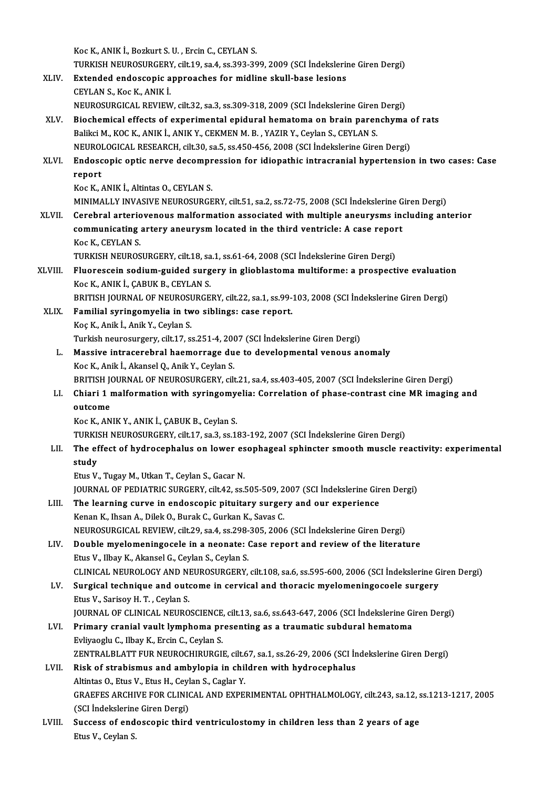KocK.,ANIKİ.,BozkurtS.U. ,ErcinC.,CEYLANS. Koc K., ANIK İ., Bozkurt S. U. , Ercin C., CEYLAN S.<br>TURKISH NEUROSURGERY, cilt.19, sa.4, ss.393-399, 2009 (SCI İndekslerine Giren Dergi)<br>Eytanded andessenis annusashes for midline akull base lesians. Koc K., ANIK İ., Bozkurt S. U. , Ercin C., CEYLAN S.<br>TURKISH NEUROSURGERY, cilt.19, sa.4, ss.393-399, 2009 (SCI İndekslerin<br>XLIV. Extended endoscopic approaches for midline skull-base lesions<br>CEVLAN S. Kos K. ANIK İ. TURKISH NEUROSURGERY<br>Extended endoscopic a<br>CEYLAN S., Koc K., ANIK İ.<br>NEUROSURGICAL REVIEW Extended endoscopic approaches for midline skull-base lesions<br>CEYLAN S., Koc K., ANIK İ.<br>NEUROSURGICAL REVIEW, cilt.32, sa.3, ss.309-318, 2009 (SCI İndekslerine Giren Dergi)<br>Piechemical effects of experimental enidural hem CEYLAN S., Koc K., ANIK İ.<br>NEUROSURGICAL REVIEW, cilt.32, sa.3, ss.309-318, 2009 (SCI İndekslerine Giren Dergi)<br>XLV. Biochemical effects of experimental epidural hematoma on brain parenchyma of rats<br>Paliksi M. KOC K. ANIK NEUROSURGICAL REVIEW, cilt.32, sa.3, ss.309-318, 2009 (SCI İndekslerine Giren<br>Biochemical effects of experimental epidural hematoma on brain paren<br>Balikci M., KOC K., ANIK İ., ANIK Y., CEKMEN M. B. , YAZIR Y., Ceylan S., C Biochemical effects of experimental epidural hematoma on brain parenchyma (Balikci M., KOC K., ANIK İ., ANIK Y., CEKMEN M. B. , YAZIR Y., Ceylan S., CEYLAN S.<br>NEUROLOGICAL RESEARCH, cilt.30, sa.5, ss.450-456, 2008 (SCI İnd Balikci M., KOC K., ANIK İ., ANIK Y., CEKMEN M. B. , YAZIR Y., Ceylan S., CEYLAN S.<br>NEUROLOGICAL RESEARCH, cilt.30, sa.5, ss.450-456, 2008 (SCI İndekslerine Giren Dergi)<br>XLVI. Endoscopic optic nerve decompression for i NEUROLOGICAL RESEARCH, cilt.30, sa.5, ss.450-456, 2008 (SCI Indekslerine Giren Dergi) Koc K., ANIK İ., Altintas O., CEYLAN S. MINIMALLYINVASIVENEUROSURGERY, cilt.51, sa.2, ss.72-75,2008 (SCI İndekslerineGirenDergi) XLVII. Cerebral arteriovenous malformation associated with multiple aneurysms including anterior MINIMALLY INVASIVE NEUROSURGERY, cilt.51, sa.2, ss.72-75, 2008 (SCI İndekslerine G<br>Cerebral arteriovenous malformation associated with multiple aneurysms incommunicating artery aneurysm located in the third ventricle: A ca **Cerebral arterio<br>communicating<br>Koc K., CEYLAN S.<br>TURVISH NEUROS** communicating artery aneurysm located in the third ventricle: A case repor<br>Koc K., CEYLAN S.<br>TURKISH NEUROSURGERY, cilt.18, sa.1, ss.61-64, 2008 (SCI İndekslerine Giren Dergi)<br>Fluanessein sedium guided euroeny in glieblest Koc K., CEYLAN S.<br>TURKISH NEUROSURGERY, cilt.18, sa.1, ss.61-64, 2008 (SCI İndekslerine Giren Dergi)<br>XLVIII. Fluorescein sodium-guided surgery in glioblastoma multiforme: a prospective evaluation<br>Koc K., ANIK İ., CABUK B., TURKISH NEUROSURGERY, cilt.18, sa.1, ss.61-64, 2008 (SCI İndekslerine Giren Dergi) Fluorescein sodium-guided surgery in glioblastoma multiforme: a prospective evaluatio<br>Koc K., ANIK İ., ÇABUK B., CEYLAN S.<br>BRITISH JOURNAL OF NEUROSURGERY, cilt.22, sa.1, ss.99-103, 2008 (SCI İndekslerine Giren Dergi)<br>Fami XLIX. Familial syringomyelia in two siblings: case report. BRITISH JOURNAL OF NEUROSI<br>Familial syringomyelia in tw<br>Koç K., Anik İ., Anik Y., Ceylan S.<br>Turkish neurosurgoru, silt 17, S Turkish neurosurgery, cilt.17, ss.251-4, 2007 (SCI İndekslerine Giren Dergi) Koç K., Anik İ., Anik Y., Ceylan S.<br>Turkish neurosurgery, cilt.17, ss.251-4, 2007 (SCI İndekslerine Giren Dergi)<br>L. Massive intracerebral haemorrage due to developmental venous anomaly<br>Kes K. Anik İ. Akansel Q. Anik Y. Cey Turkish neurosurgery, cilt.17, ss.251-4, 200<br>Massive intracerebral haemorrage du<br>Koc K., Anik İ., Akansel Q., Anik Y., Ceylan S.<br>PRITISH JOURNAL OF NEUROSURCERY, cil Massive intracerebral haemorrage due to developmental venous anomaly<br>Koc K., Anik İ., Akansel Q., Anik Y., Ceylan S.<br>BRITISH JOURNAL OF NEUROSURGERY, cilt.21, sa.4, ss.403-405, 2007 (SCI İndekslerine Giren Dergi)<br>Chiari 1 Koc K., Anik İ., Akansel Q., Anik Y., Ceylan S.<br>BRITISH JOURNAL OF NEUROSURGERY, cilt.21, sa.4, ss.403-405, 2007 (SCI İndekslerine Giren Dergi)<br>LI. Chiari 1 malformation with syringomyelia: Correlation of phase-contrast ci BRITISH JONE<br>Chiari 1 1<br>outcome KocK.,ANIKY.,ANIKİ.,ÇABUKB.,CeylanS. outcome<br>Koc K., ANIK Y., ANIK İ., ÇABUK B., Ceylan S.<br>TURKISH NEUROSURGERY, cilt.17, sa.3, ss.183-192, 2007 (SCI İndekslerine Giren Dergi)<br>The effest of bydrosanhalys en lower esenhageal enhingter smooth mussle re Koc K., ANIK Y., ANIK İ., ÇABUK B., Ceylan S.<br>TURKISH NEUROSURGERY, cilt.17, sa.3, ss.183-192, 2007 (SCI İndekslerine Giren Dergi)<br>LII. The effect of hydrocephalus on lower esophageal sphincter smooth muscle reactivity TURKIS<br>The ef<br>study<br>Etus V The effect of hydrocephalus on lower es<br>study<br>Etus V., Tugay M., Utkan T., Ceylan S., Gacar N.<br>JOUPMAL OF PEDIATRIC SURCERY, sit 42, ss i study<br>Etus V., Tugay M., Utkan T., Ceylan S., Gacar N.<br>JOURNAL OF PEDIATRIC SURGERY, cilt.42, ss.505-509, 2007 (SCI İndekslerine Giren Dergi)<br>The Jeanning cunue in andessenis pituiteny surgeny and sun superianse. Etus V., Tugay M., Utkan T., Ceylan S., Gacar N.<br>JOURNAL OF PEDIATRIC SURGERY, cilt.42, ss.505-509, 2007 (SCI indekslerine Gir<br>LIII. The learning curve in endoscopic pituitary surgery and our experience<br>Kopen K. Ibeen A. D LIII. The learning curve in endoscopic pituitary surgery and our experience<br>Kenan K., Ihsan A., Dilek O., Burak C., Gurkan K., Savas C. NEUROSURGICALREVIEW, cilt.29, sa.4, ss.298-305,2006 (SCI İndekslerineGirenDergi) LIV. Doublemyelomeningocele in a neonate: Case report and reviewof the literature Etus V., Ilbay K., Akansel G., Ceylan S., Ceylan S. Double myelomeningocele in a neonate: Case report and review of the literature<br>Etus V., Ilbay K., Akansel G., Ceylan S., Ceylan S.<br>CLINICAL NEUROLOGY AND NEUROSURGERY, cilt.108, sa.6, ss.595-600, 2006 (SCI İndekslerine Gir Etus V., Ilbay K., Akansel G., Ceylan S., Ceylan S.<br>CLINICAL NEUROLOGY AND NEUROSURGERY, cilt.108, sa.6, ss.595-600, 2006 (SCI İndekslerine G<br>LV. Surgical technique and outcome in cervical and thoracic myelomeningocoele su CLINICAL NEUROLOGY AND NI<br>Surgical technique and outo<br>Etus V., Sarisoy H. T. , Ceylan S.<br>JOUPMAL OF CLINICAL NEURO Surgical technique and outcome in cervical and thoracic myelomeningocoele surgery<br>Etus V., Sarisoy H. T. , Ceylan S.<br>JOURNAL OF CLINICAL NEUROSCIENCE, cilt.13, sa.6, ss.643-647, 2006 (SCI İndekslerine Giren Dergi)<br>Primary Etus V., Sarisoy H. T. , Ceylan S.<br>JOURNAL OF CLINICAL NEUROSCIENCE, cilt.13, sa.6, ss.643-647, 2006 (SCI İndekslerine Gi<br>LVI. Primary cranial vault lymphoma presenting as a traumatic subdural hematoma **JOURNAL OF CLINICAL NEUROSCIENCE<br>Primary cranial vault lymphoma pr<br>Evliyaoglu C., Ilbay K., Ercin C., Ceylan S.<br>ZENTP ALBLATT EUR NEUROCHIBURCU** LVI. Primary cranial vault lymphoma presenting as a traumatic subdural hematoma<br>Evliyaoglu C., Ilbay K., Ercin C., Ceylan S.<br>ZENTRALBLATT FUR NEUROCHIRURGIE. cilt.67. sa.1. ss.26-29. 2006 (SCI İndekslerine Giren Dergi) Evliyaoglu C., Ilbay K., Ercin C., Ceylan S.<br>ZENTRALBLATT FUR NEUROCHIRURGIE, cilt.67, sa.1, ss.26-29, 2006 (SCI İn<br>LVII. Risk of strabismus and ambylopia in children with hydrocephalus<br>Altintes O. Etus V. Etus H. Ceylan S ZENTRALBLATT FUR NEUROCHIRURGIE, cilt.<br>Risk of strabismus and ambylopia in chil<br>Altintas O., Etus V., Etus H., Ceylan S., Caglar Y.<br>CRAEEES ARCHIVE FOR CLINICAL AND EXPE GRAEFES ARCHIVE FOR CLINICAL AND EXPERIMENTAL OPHTHALMOLOGY, cilt.243, sa.12, ss.1213-1217, 2005<br>(SCI İndekslerine Giren Dergi) Altintas O., Etus V., Etus H., Ceylan S., Caglar Y. GRAEFES ARCHIVE FOR CLINICAL AND EXPERIMENTAL OPHTHALMOLOGY, cilt.243, sa.12, s<br>(SCI Indekslerine Giren Dergi)<br>LVIII. Success of endoscopic third ventriculostomy in children less than 2 years of age (SCI İndekslerine<br>Success of end<br>Etus V., Ceylan S.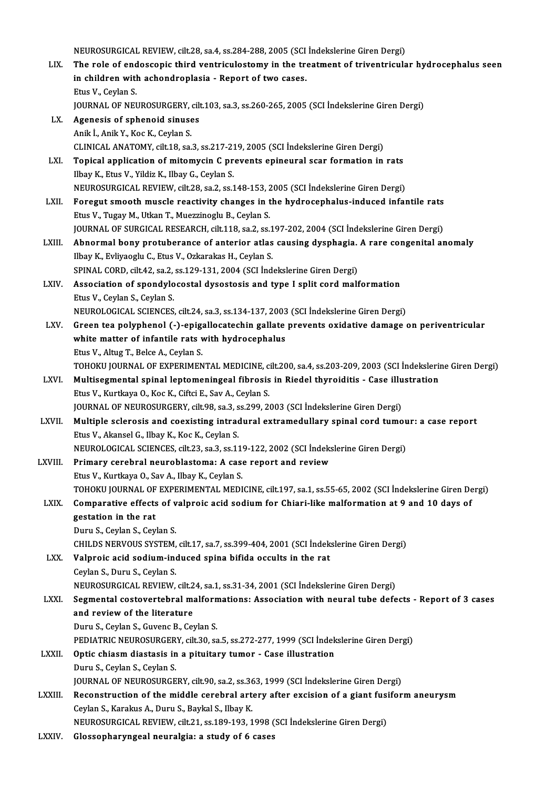NEUROSURGICAL REVIEW, cilt.28, sa.4, ss.284-288, 2005 (SCI İndekslerine Giren Dergi)

- NEUROSURGICAL REVIEW, cilt.28, sa.4, ss.284-288, 2005 (SCI İndekslerine Giren Dergi)<br>LIX. The role of endoscopic third ventriculostomy in the treatment of triventricular hydrocephalus seen<br>in children with ashendreplasis . NEUROSURGICAL REVIEW, cilt.28, sa.4, ss.284-288, 2005 (SCI<br>The role of endoscopic third ventriculostomy in the tre<br>in children with achondroplasia - Report of two cases.<br>Five V. Cevlan S The role of end<br>in children with<br>Etus V., Ceylan S.<br>JOUDNAL OF NEL in children with achondroplasia - Report of two cases.<br>Etus V., Ceylan S.<br>JOURNAL OF NEUROSURGERY, cilt.103, sa.3, ss.260-265, 2005 (SCI İndekslerine Giren Dergi)<br>Agenesis of sphenoid sinuses. Etus V., Ceylan S.<br>JOURNAL OF NEUROSURGERY, cil<br>LX. Agenesis of sphenoid sinuses<br>Anik İ., Anik Y., Koc K., Ceylan S. JOURNAL OF NEUROSURGERY,<br>Agenesis of sphenoid sinuse<br>Anik İ., Anik Y., Koc K., Ceylan S.<br>CLINICAL ANATOMY silt 19.53
- CLINICAL ANATOMY, cilt.18, sa.3, ss.217-219, 2005 (SCI İndekslerine Giren Dergi) Anik İ., Anik Y., Koc K., Ceylan S.<br>CLINICAL ANATOMY, cilt.18, sa.3, ss.217-219, 2005 (SCI İndekslerine Giren Dergi)<br>LXI. Topical application of mitomycin C prevents epineural scar formation in rats<br>
 CLINICAL ANATOMY, cilt.18, sa.3, ss.217-21<br>**Topical application of mitomycin C pr**<br>Ilbay K., Etus V., Yildiz K., Ilbay G., Ceylan S.<br>NEUPOSUPCICAL PEVIEW, cilt.28, ss.2, ss.1 Topical application of mitomycin C prevents epineural scar formation in rats<br>Ilbay K., Etus V., Yildiz K., Ilbay G., Ceylan S.<br>NEUROSURGICAL REVIEW, cilt.28, sa.2, ss.148-153, 2005 (SCI İndekslerine Giren Dergi)<br>Foregut sm Ilbay K., Etus V., Yildiz K., Ilbay G., Ceylan S.<br>NEUROSURGICAL REVIEW, cilt.28, sa.2, ss.148-153, 2005 (SCI İndekslerine Giren Dergi)<br>LXII. Foregut smooth muscle reactivity changes in the hydrocephalus-induced infantile r
- EtusV.,TugayM.,UtkanT.,MuezzinogluB.,CeylanS. Foregut smooth muscle reactivity changes in the hydrocephalus-induced infantile rats<br>Etus V., Tugay M., Utkan T., Muezzinoglu B., Ceylan S.<br>JOURNAL OF SURGICAL RESEARCH, cilt.118, sa.2, ss.197-202, 2004 (SCI İndekslerine G Etus V., Tugay M., Utkan T., Muezzinoglu B., Ceylan S.<br>JOURNAL OF SURGICAL RESEARCH, cilt.118, sa.2, ss.197-202, 2004 (SCI İndekslerine Giren Dergi)<br>LXIII. Abnormal bony protuberance of anterior atlas causing dysphagia. A
- IOURNAL OF SURGICAL RESEARCH, cilt.118, sa.2, ss.1<br>**Abnormal bony protuberance of anterior atlas**<br>Ilbay K., Evliyaoglu C., Etus V., Ozkarakas H., Ceylan S.<br>SPINAL COPD, cilt.4.2, ss.2, ss.1.20,1.21, 2004 (SCL ind Abnormal bony protuberance of anterior atlas causing dysphagia.<br>Ilbay K., Evliyaoglu C., Etus V., Ozkarakas H., Ceylan S.<br>SPINAL CORD, cilt.42, sa.2, ss.129-131, 2004 (SCI İndekslerine Giren Dergi)<br>Association of apondulas SPINAL CORD, cilt.42, sa.2, ss.129-131, 2004 (SCI Indekslerine Giren Dergi)
- Ilbay K., Evliyaoglu C., Etus V., Ozkarakas H., Ceylan S.<br>SPINAL CORD, cilt.42, sa.2, ss.129-131, 2004 (SCI Indekslerine Giren Dergi)<br>LXIV. Association of spondylocostal dysostosis and type I split cord malformation<br>Etus V Association of spondylocostal dysostosis and type I split cord malformation<br>Etus V., Ceylan S., Ceylan S.<br>NEUROLOGICAL SCIENCES, cilt.24, sa.3, ss.134-137, 2003 (SCI İndekslerine Giren Dergi)<br>Creen tea polyphonel ( ) enige
- Etus V., Ceylan S., Ceylan S.<br>NEUROLOGICAL SCIENCES, cilt.24, sa.3, ss.134-137, 2003 (SCI İndekslerine Giren Dergi)<br>LXV. Green tea polyphenol (-)-epigallocatechin gallate prevents oxidative damage on periventricular<br>white NEUROLOGICAL SCIENCES, cilt.24, sa.3, ss.134-137, 2003<br>Green tea polyphenol (-)-epigallocatechin gallate<br>white matter of infantile rats with hydrocephalus<br>Fius V. Altus T. Bolse A. Coylan S. Green tea polyphenol (-)-epig;<br>white matter of infantile rats v<br>Etus V., Altug T., Belce A., Ceylan S.<br>TOHOKU JOUPNAL OF EYPEPIMEN white matter of infantile rats with hydrocephalus<br>Etus V., Altug T., Belce A., Ceylan S.<br>TOHOKU JOURNAL OF EXPERIMENTAL MEDICINE, cilt.200, sa.4, ss.203-209, 2003 (SCI İndekslerine Giren Dergi)<br>Multisesmental spinal leptem Etus V., Altug T., Belce A., Ceylan S.<br>TOHOKU JOURNAL OF EXPERIMENTAL MEDICINE, cilt.200, sa.4, ss.203-209, 2003 (SCI İndekslerii<br>LXVI. Multisegmental spinal leptomeningeal fibrosis in Riedel thyroiditis - Case illustratio
	-
- TOHOKU JOURNAL OF EXPERIMENTAL MEDICINE, c<br>Multisegmental spinal leptomeningeal fibrosis<br>Etus V., Kurtkaya O., Koc K., Ciftci E., Sav A., Ceylan S.<br>JOUPNAL OF NEUBOSUBCERY, silt 98, sa 3, ss 399, 34 LXVI. Multisegmental spinal leptomeningeal fibrosis in Riedel thyroiditis - Case illustration<br>Etus V., Kurtkaya O., Koc K., Ciftci E., Sav A., Ceylan S.<br>JOURNAL OF NEUROSURGERY, cilt.98, sa.3, ss.299, 2003 (SCI İndekslerin Etus V., Kurtkaya O., Koc K., Ciftci E., Sav A., Ceylan S.<br>JOURNAL OF NEUROSURGERY, cilt.98, sa.3, ss.299, 2003 (SCI İndekslerine Giren Dergi)<br>LXVII. Multiple sclerosis and coexisting intradural extramedullary spinal cord
- Etus V., Akansel G., Ilbay K., Koc K., Ceylan S. Multiple sclerosis and coexisting intradural extramedullary spinal cord tumou<br>Etus V., Akansel G., Ilbay K., Koc K., Ceylan S.<br>NEUROLOGICAL SCIENCES, cilt.23, sa.3, ss.119-122, 2002 (SCI İndekslerine Giren Dergi)<br>Primary s Etus V., Akansel G., Ilbay K., Koc K., Ceylan S.<br>NEUROLOGICAL SCIENCES, cilt.23, sa.3, ss.119-122, 2002 (SCI İndeks<br>LXVIII. Primary cerebral neuroblastoma: A case report and review
- NEUROLOGICAL SCIENCES, cilt.23, sa.3, ss.11<br>Primary cerebral neuroblastoma: A case<br>Etus V., Kurtkaya O., Sav A., Ilbay K., Ceylan S.<br>TOHOVILIOURNAL OF EXPERIMENTAL MEDI Primary cerebral neuroblastoma: A case report and review<br>Etus V., Kurtkaya O., Sav A., Ilbay K., Ceylan S.<br>TOHOKU JOURNAL OF EXPERIMENTAL MEDICINE, cilt.197, sa.1, ss.55-65, 2002 (SCI İndekslerine Giren Dergi)<br>Componative Etus V., Kurtkaya O., Sav A., Ilbay K., Ceylan S.<br>TOHOKU JOURNAL OF EXPERIMENTAL MEDICINE, cilt.197, sa.1, ss.55-65, 2002 (SCI İndekslerine Giren De<br>LXIX. Comparative effects of valproic acid sodium for Chiari-like malform

# TOHOKU JOURNAL OF<br>Comparative effects<br>gestation in the rat<br>Dum: S. Coylan S. Coy **Comparative effects of v<br>gestation in the rat<br>Duru S., Ceylan S., Ceylan S.<br>CHU DS NEDVOUS SYSTEM** gestation in the rat<br>Duru S., Ceylan S., Ceylan S.<br>CHILDS NERVOUS SYSTEM, cilt.17, sa.7, ss.399-404, 2001 (SCI İndekslerine Giren Dergi) Duru S., Ceylan S., Ceylan S.<br>CHILDS NERVOUS SYSTEM, cilt.17, sa.7, ss.399-404, 2001 (SCI İndek<br>LXX. Valproic acid sodium-induced spina bifida occults in the rat<br>Ceylan S. Duru S. Ceylan S.

# CHILDS NERVOUS SYSTEM,<br>Valproic acid sodium-inc<br>Ceylan S., Duru S., Ceylan S.<br>NEUPOSUBCICAL BEVIEW

Ceylan S., Duru S., Ceylan S.<br>NEUROSURGICAL REVIEW, cilt.24, sa.1, ss.31-34, 2001 (SCI İndekslerine Giren Dergi)

Ceylan S., Duru S., Ceylan S.<br>NEUROSURGICAL REVIEW, cilt.24, sa.1, ss.31-34, 2001 (SCI İndekslerine Giren Dergi)<br>LXXI. Segmental costovertebral malformations: Association with neural tube defects - Report of 3 cases<br>and re NEUROSURGICAL REVIEW, cilt.2<br>Segmental costovertebral mand review of the literature Segmental costovertebral malforn<br>and review of the literature<br>Duru S., Ceylan S., Guvenc B., Ceylan S.<br>PEDIATRIC NEUROSURCERY silt 20.88 and review of the literature<br>Duru S., Ceylan S., Guvenc B., Ceylan S.<br>PEDIATRIC NEUROSURGERY, cilt.30, sa.5, ss.272-277, 1999 (SCI İndekslerine Giren Dergi)<br>Ontis shinem diastasis in a nitujtary tumor... Case illustration.

- Duru S., Ceylan S., Guvenc B., Ceylan S.<br>PEDIATRIC NEUROSURGERY, cilt.30, sa.5, ss.272-277, 1999 (SCI Indek<br>LXXII. Optic chiasm diastasis in a pituitary tumor Case illustration<br>Duru S., Ceylan S., Ceylan S. PEDIATRIC NEUROSURGER<br>Optic chiasm diastasis in<br>Duru S., Ceylan S., Ceylan S.<br>JOUPNAL OF NEUROSURCE Optic chiasm diastasis in a pituitary tumor - Case illustration<br>Duru S., Ceylan S., Ceylan S.<br>JOURNAL OF NEUROSURGERY, cilt.90, sa.2, ss.363, 1999 (SCI İndekslerine Giren Dergi)<br>Reconstruction of the middle conshuel extery
- Duru S., Ceylan S., Ceylan S.<br>JOURNAL OF NEUROSURGERY, cilt.90, sa.2, ss.363, 1999 (SCI İndekslerine Giren Dergi)<br>LXXIII. Reconstruction of the middle cerebral artery after excision of a giant fusiform aneurysm JOURNAL OF NEUROSURGERY, cilt.90, sa.2, ss.36<br>Reconstruction of the middle cerebral art<br>Ceylan S., Karakus A., Duru S., Baykal S., Ilbay K.<br>NEUROSURCICAL REVIEW. cilt 21, ss.180, 192, 1 Reconstruction of the middle cerebral artery after excision of a giant fusi<br>Ceylan S., Karakus A., Duru S., Baykal S., Ilbay K.<br>NEUROSURGICAL REVIEW, cilt.21, ss.189-193, 1998 (SCI İndekslerine Giren Dergi)<br>Classenbarungea Ceylan S., Karakus A., Duru S., Baykal S., Ilbay K.<br>NEUROSURGICAL REVIEW, cilt.21, ss.189-193, 1998 (SCI İndekslerine Giren Dergi)<br>LXXIV. Glossopharyngeal neuralgia: a study of 6 cases
-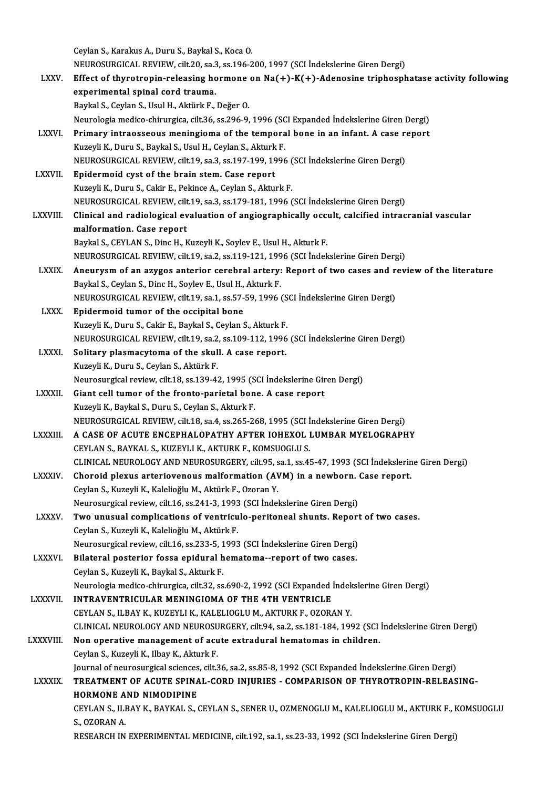CeylanS.,KarakusA.,Duru S.,BaykalS.,KocaO. Ceylan S., Karakus A., Duru S., Baykal S., Koca O.<br>NEUROSURGICAL REVIEW, cilt.20, sa.3, ss.196-200, 1997 (SCI İndekslerine Giren Dergi)<br>Effect of thuretronin relegeing bormane en Ne(+), K(+), Adenesine trinbeenh LXXV. Effect of thyrotropin-releasing hormone on  $Na(+)-K(+)$ -Adenosine triphosphatase activity following experimental spinal cord trauma. NEUROSURGICAL REVIEW, cilt.20, sa.3<br>Effect of thyrotropin-releasing ho<br>experimental spinal cord trauma.<br>Paylal S. Caylan S. Hayl H. Altürk E. Baykal S., Ceylan S., Usul H., Aktürk F., Değer O. Neurologiamedico-chirurgica, cilt.36, ss.296-9,1996 (SCIExpanded İndekslerineGirenDergi) Baykal S., Ceylan S., Usul H., Aktürk F., Değer O.<br>Neurologia medico-chirurgica, cilt.36, ss.296-9, 1996 (SCI Expanded İndekslerine Giren Dergi)<br>LXXVI. Primary intraosseous meningioma of the temporal bone in an infant. A c Neurologia medico-chirurgica, cilt.36, ss.296-9, 1996 (SC<br>Primary intraosseous meningioma of the tempora<br>Kuzeyli K., Duru S., Baykal S., Usul H., Ceylan S., Akturk F.<br>NEUPOSUPCICAL PEVIEW, cilt.19, sa 3, ss.197, 199, 1996 Primary intraosseous meningioma of the temporal bone in an infant. A case re<br>Kuzeyli K., Duru S., Baykal S., Usul H., Ceylan S., Akturk F.<br>NEUROSURGICAL REVIEW, cilt.19, sa.3, ss.197-199, 1996 (SCI İndekslerine Giren Dergi Kuzeyli K., Duru S., Baykal S., Usul H., Ceylan S., Akturk F.<br>NEUROSURGICAL REVIEW, cilt.19, sa.3, ss.197-199, 1996 (<br>LXXVII. Epidermoid cyst of the brain stem. Case report<br>Kuzeyli K., Duru S., Cakir E., Pekince A., Ceylan NEUROSURGICAL REVIEW, cilt.19, sa.3, ss.197-199, 1996 (SCI İndekslerine Giren Dergi) NEUROSURGICALREVIEW, cilt.19, sa.3, ss.179-181,1996 (SCI İndekslerineGirenDergi) Kuzeyli K., Duru S., Cakir E., Pekince A., Ceylan S., Akturk F.<br>NEUROSURGICAL REVIEW, cilt.19, sa.3, ss.179-181, 1996 (SCI İndekslerine Giren Dergi)<br>LXXVIII. Clinical and radiological evaluation of angiographically occ MEUROSURGICAL REVIEW, cilt<br>Clinical and radiological ev<br>malformation. Case report<br>Paylal S. CEVI AN S. Ding H. L Clinical and radiological evaluation of angiographically occurred in alformation. Case report<br>Baykal S., CEYLAN S., Dinc H., Kuzeyli K., Soylev E., Usul H., Akturk F.<br>NEUPOSUPCICAL PEVIEW. silt 19, ss 2, ss 119, 121, 1996 malformation. Case report<br>Baykal S., CEYLAN S., Dinc H., Kuzeyli K., Soylev E., Usul H., Akturk F.<br>NEUROSURGICAL REVIEW, cilt.19, sa.2, ss.119-121, 1996 (SCI İndekslerine Giren Dergi) Baykal S., CEYLAN S., Dinc H., Kuzeyli K., Soylev E., Usul H., Akturk F.<br>NEUROSURGICAL REVIEW, cilt.19, sa.2, ss.119-121, 1996 (SCI indekslerine Giren Dergi)<br>LXXIX. Aneurysm of an azygos anterior cerebral artery: Report of NEUROSURGICAL REVIEW, cilt.19, sa.2, ss.119-121, 199<br>Aneurysm of an azygos anterior cerebral artery:<br>Baykal S., Ceylan S., Dinc H., Soylev E., Usul H., Akturk F.<br>NEUROSURCICAL REVIEW, sit.19, ss.1, ss.57, 59, 1996.6 Aneurysm of an azygos anterior cerebral artery: Report of two cases and r<br>Baykal S., Ceylan S., Dinc H., Soylev E., Usul H., Akturk F.<br>NEUROSURGICAL REVIEW, cilt.19, sa.1, ss.57-59, 1996 (SCI İndekslerine Giren Dergi)<br>Enid Baykal S., Ceylan S., Dinc H., Soylev E., Usul H., Akturk F.<br>NEUROSURGICAL REVIEW, cilt.19, sa.1, ss.57-59, 1996 (S.<br>LXXX. Epidermoid tumor of the occipital bone<br>Kuzeyli K., Duru S., Cakir E., Baykal S., Ceylan S., Akturk NEUROSURGICAL REVIEW, cilt.19, sa.1, ss.57-59, 1996 (SCI Indekslerine Giren Dergi) NEUROSURGICALREVIEW, cilt.19, sa.2, ss.109-112,1996 (SCI İndekslerineGirenDergi) Kuzeyli K., Duru S., Cakir E., Baykal S., Ceylan S., Akturk F.<br>NEUROSURGICAL REVIEW, cilt.19, sa.2, ss.109-112, 1996<br>LXXXI. Solitary plasmacytoma of the skull. A case report.<br>Expressive Prince Covian S. Aktürk F. NEUROSURGICAL REVIEW, cilt.19, sa.2<br>Solitary plasmacytoma of the skul<br>Kuzeyli K., Duru S., Ceylan S., Aktürk F.<br>Neurosurgical review, cilt.19, ss.139, 4. Solitary plasmacytoma of the skull. A case report.<br>Kuzeyli K., Duru S., Ceylan S., Aktürk F.<br>Neurosurgical review, cilt.18, ss.139-42, 1995 (SCI İndekslerine Giren Dergi)<br>Ciant cell tumor of the fronte perietal bone. A cas Kuzeyli K., Duru S., Ceylan S., Aktürk F.<br>Neurosurgical review, cilt 18, ss. 139-42, 1995 (SCI İndekslerine Gir<br>LXXXII. Giant cell tumor of the fronto-parietal bone. A case report<br>Kuzeyli K., Baykal S., Duru S., Ceylan S., Neurosurgical review, cilt.18, ss.139-42, 1995 (S<br>Giant cell tumor of the fronto-parietal bon<br>Kuzeyli K., Baykal S., Duru S., Ceylan S., Akturk F.<br>NEUPOSUPCICAL PEVIEW, cilt.19, so.4, ss.265, 24 NEUROSURGICALREVIEW, cilt.18, sa.4, ss.265-268,1995 (SCI İndekslerineGirenDergi) Kuzeyli K., Baykal S., Duru S., Ceylan S., Akturk F.<br>NEUROSURGICAL REVIEW, cilt.18, sa.4, ss.265-268, 1995 (SCI İndekslerine Giren Dergi)<br>LXXXIII. A CASE OF ACUTE ENCEPHALOPATHY AFTER IOHEXOL LUMBAR MYELOGRAPHY NEUROSURGICAL REVIEW, cilt.18, sa.4, ss.265-268, 1995 (SCI I<br>A CASE OF ACUTE ENCEPHALOPATHY AFTER IOHEXOL I<br>CEYLAN S., BAYKAL S., KUZEYLI K., AKTURK F., KOMSUOGLU S.<br>CLINICAL NEUROLOCY AND NEUROSURCERY silt 05, ss.1, ss.41 A CASE OF ACUTE ENCEPHALOPATHY AFTER IOHEXOL LUMBAR MYELOGRAPHY<br>CEYLAN S., BAYKAL S., KUZEYLI K., AKTURK F., KOMSUOGLU S.<br>CLINICAL NEUROLOGY AND NEUROSURGERY, cilt.95, sa.1, ss.45-47, 1993 (SCI İndekslerine Giren Dergi)<br>Ch CEYLAN S., BAYKAL S., KUZEYLI K., AKTURK F., KOMSUOGLU S.<br>CLINICAL NEUROLOGY AND NEUROSURGERY, cilt.95, sa.1, ss.45-47, 1993 (SCI İndekslerin<br>LXXXIV. Choroid plexus arteriovenous malformation (AVM) in a newborn. Case repor CLINICAL NEUROLOGY AND NEUROSURGERY, cilt.95, s<br>Choroid plexus arteriovenous malformation (AV<br>Ceylan S., Kuzeyli K., Kalelioğlu M., Aktürk F., Ozoran Y.<br>Naunosurgisal review, silt 16, se 241, 2, 1992 (SCLInde) Choroid plexus arteriovenous malformation (AVM) in a newborn.<br>Ceylan S., Kuzeyli K., Kalelioğlu M., Aktürk F., Ozoran Y.<br>Neurosurgical review, cilt.16, ss.241-3, 1993 (SCI İndekslerine Giren Dergi)<br>Ture unusual semplisatio Ceylan S., Kuzeyli K., Kalelioğlu M., Aktürk F., Ozoran Y.<br>Neurosurgical review, cilt.16, ss.241-3, 1993 (SCI İndekslerine Giren Dergi)<br>LXXXV. Two unusual complications of ventriculo-peritoneal shunts. Report of two cases. Neurosurgical review, cilt.16, ss.241-3, 1993<br>Two unusual complications of ventricu<br>Ceylan S., Kuzeyli K., Kalelioğlu M., Aktürk F.<br>Naunosurgisal review, silt 16, ss.222, E. 1003 Two unusual complications of ventriculo-peritoneal shunts. Report<br>Ceylan S., Kuzeyli K., Kalelioğlu M., Aktürk F.<br>Neurosurgical review, cilt.16, ss.233-5, 1993 (SCI İndekslerine Giren Dergi)<br>Bilateral pesterior fossa epidu Ceylan S., Kuzeyli K., Kalelioğlu M., Aktürk F.<br>Neurosurgical review, cilt.16, ss.233-5, 1993 (SCI İndekslerine Giren Dergi)<br>LXXXVI. Bilateral posterior fossa epidural hematoma--report of two cases.<br>Ceylan S. Kuzeyli K. Ba Neurosurgical review, cilt.16, ss.233-5, 1<br>Bilateral posterior fossa epidural h<br>Ceylan S., Kuzeyli K., Baykal S., Akturk F.<br>Neurologia modice chimurgice cilt.3.2, ss Ceylan S., Kuzeyli K., Baykal S., Akturk F.<br>Neurologia medico-chirurgica, cilt.32, ss.690-2, 1992 (SCI Expanded İndekslerine Giren Dergi) LXXXVII. INTRAVENTRICULAR MENINGIOMA OF THE 4TH VENTRICLE CEYLANS., ILBAYK.,KUZEYLIK.,KALELIOGLUM.,AKTURKF.,OZORANY. INTRAVENTRICULAR MENINGIOMA OF THE 4TH VENTRICLE<br>CEYLAN S., ILBAY K., KUZEYLI K., KALELIOGLU M., AKTURK F., OZORAN Y.<br>CLINICAL NEUROLOGY AND NEUROSURGERY, cilt.94, sa.2, ss.181-184, 1992 (SCI İndekslerine Giren Dergi)<br>Nen CEYLAN S., ILBAY K., KUZEYLI K., KALELIOGLU M., AKTURK F., OZORAN Y.<br>CLINICAL NEUROLOGY AND NEUROSURGERY, cilt.94, sa.2, ss.181-184, 1992 (SCI<br>LXXXVIII. Non operative management of acute extradural hematomas in children. CLINICAL NEUROLOGY AND NEUROSU<br>Non operative management of acu<br>Ceylan S., Kuzeyli K., Ilbay K., Akturk F.<br>Journal of nourosurgical sciences, silt 3 Non operative management of acute extradural hematomas in children.<br>Ceylan S., Kuzeyli K., Ilbay K., Akturk F.<br>Journal of neurosurgical sciences, cilt.36, sa.2, ss.85-8, 1992 (SCI Expanded İndekslerine Giren Dergi) Ceylan S., Kuzeyli K., Ilbay K., Akturk F.<br>Journal of neurosurgical sciences, cilt.36, sa.2, ss.85-8, 1992 (SCI Expanded Indekslerine Giren Dergi)<br>LXXXIX. TREATMENT OF ACUTE SPINAL-CORD INJURIES - COMPARISON OF THYROTROPIN **Journal of neurosurgical sciences<br>TREATMENT OF ACUTE SPINA<br>HORMONE AND NIMODIPINE<br>CEVLANS HEAV K PAVKALS 4** TREATMENT OF ACUTE SPINAL-CORD INJURIES - COMPARISON OF THYROTROPIN-RELEASING-<br>HORMONE AND NIMODIPINE<br>CEYLAN S., ILBAY K., BAYKAL S., CEYLAN S., SENER U., OZMENOGLU M., KALELIOGLU M., AKTURK F., KOMSUOGLU<br>S. OZOPAN A HORMONE A<br>CEYLAN S., ILI<br>S., OZORAN A.<br>PESEARCH IN CEYLAN S., ILBAY K., BAYKAL S., CEYLAN S., SENER U., OZMENOGLU M., KALELIOGLU M., AKTURK F., KOMSUOGLU<br>S., OZORAN A.<br>RESEARCH IN EXPERIMENTAL MEDICINE, cilt.192, sa.1, ss.23-33, 1992 (SCI İndekslerine Giren Dergi)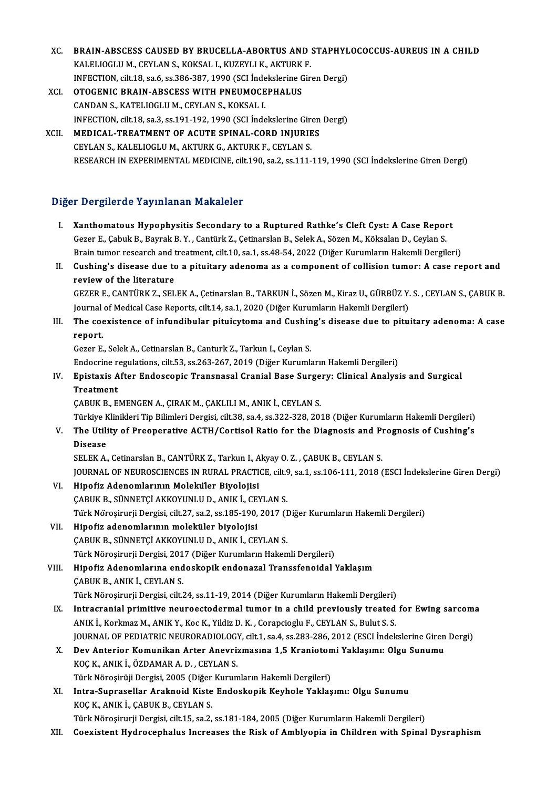- XC. BRAIN-ABSCESS CAUSED BY BRUCELLA-ABORTUS AND STAPHYLOCOCCUS-AUREUS IN A CHILD<br>KALELIOCLUM CEVLANS, KOKSAL L KUZEVLLK, AKTURK E **BRAIN-ABSCESS CAUSED BY BRUCELLA-ABORTUS AND :**<br>KALELIOGLU M., CEYLAN S., KOKSAL I., KUZEYLI K., AKTURK F.<br>INEECTION, cilt 18, 22 6, 22 386, 397, 1990, (SCL Indeltalering Cir BRAIN-ABSCESS CAUSED BY BRUCELLA-ABORTUS AND STAPHYL<br>KALELIOGLU M., CEYLAN S., KOKSAL I., KUZEYLI K., AKTURK F.<br>INFECTION, cilt.18, sa.6, ss.386-387, 1990 (SCI İndekslerine Giren Dergi)<br>OTOCENIC BRAIN ABSCESS WITH BNEUMOCE KALELIOGLU M., CEYLAN S., KOKSAL I., KUZEYLI K., AKTURK F.<br>INFECTION, cilt.18, sa.6, ss.386-387, 1990 (SCI İndekslerine Gire<br>XCI. OTOGENIC BRAIN-ABSCESS WITH PNEUMOCEPHALUS<br>CANDAN S., KATELIOGLU M., CEYLAN S., KOKSAL I.
- INFECTION, cilt.18, sa.6, ss.386-387, 1990 (SCI Inde<br>**OTOGENIC BRAIN-ABSCESS WITH PNEUMOCE**<br>CANDAN S., KATELIOGLU M., CEYLAN S., KOKSAL I.<br>INEECTION, cilt.19, sa.3, ss.191,192, 1990 (SCI Inde INFECTION, cilt.18, sa.3, ss.191-192, 1990 (SCI İndekslerine Giren Dergi) CANDAN S., KATELIOGLU M., CEYLAN S., KOKSAL I.<br>INFECTION, cilt.18, sa.3, ss.191-192, 1990 (SCI Indekslerine Giren<br>XCII. MEDICAL-TREATMENT OF ACUTE SPINAL-CORD INJURIES
- INFECTION, cilt.18, sa.3, ss.191-192, 1990 (SCI İndekslerine Girm<br>**MEDICAL-TREATMENT OF ACUTE SPINAL-CORD INJURIE**<br>CEYLAN S., KALELIOGLU M., AKTURK G., AKTURK F., CEYLAN S.<br>PESEARCH IN EXPERIMENTAL MEDICINE cilt.190, sa.2, CEYLAN S., KALELIOGLU M., AKTURK G., AKTURK F., CEYLAN S.<br>RESEARCH IN EXPERIMENTAL MEDICINE, cilt.190, sa.2, ss.111-119, 1990 (SCI İndekslerine Giren Dergi)

## Diğer Dergilerde Yayınlanan Makaleler

- Iger Dergilerde Yayınlanan Makaleler<br>I. Xanthomatous Hypophysitis Secondary to a Ruptured Rathke's Cleft Cyst: A Case Report<br>Cerer E Cobult B, Bayrak B, X. Centürk Z, Cetiparskap B, Salak A, Sören M, Kölselar D, Ceylan S r Bergherde Taymmahan Mahareter<br>Kanthomatous Hypophysitis Secondary to a Ruptured Rathke's Cleft Cyst: A Case Repor<br>Gezer E., Çabuk B., Bayrak B.Y. , Cantürk Z., Çetinarslan B., Selek A., Sözen M., Köksalan D., Ceylan S.<br>P Gezer E., Çabuk B., Bayrak B. Y. , Cantürk Z., Çetinarslan B., Selek A., Sözen M., Köksalan D., Ceylan S.<br>Brain tumor research and treatment, cilt.10, sa.1, ss.48-54, 2022 (Diğer Kurumların Hakemli Dergileri) Gezer E., Çabuk B., Bayrak B. Y. , Cantürk Z., Çetinarslan B., Selek A., Sözen M., Köksalan D., Ceylan S.<br>Brain tumor research and treatment, cilt.10, sa.1, ss.48-54, 2022 (Diğer Kurumların Hakemli Dergileri)<br>II. Cushing's
- **Brain tumor research and t<br>Cushing's disease due to<br>review of the literature** Cushing's disease due to a pituitary adenoma as a component of collision tumor: A case report and<br>review of the literature<br>GEZER E., CANTÜRK Z., SELEK A., Çetinarslan B., TARKUN İ., Sözen M., Kiraz U., GÜRBÜZ Y. S. , CEYLA

review of the literature<br>GEZER E., CANTÜRK Z., SELEK A., Çetinarslan B., TARKUN İ., Sözen M., Kiraz U., GÜRBÜZ Y.<br>Journal of Medical Case Reports, cilt.14, sa.1, 2020 (Diğer Kurumların Hakemli Dergileri)<br>The seevistense of Journal of Medical Case Reports, cilt.14, sa.1, 2020 (Diğer Kurumların Hakemli Dergileri)

# III. The coexistence of infundibular pituicytoma and Cushing's disease due to pituitary adenoma: A case report. r<mark>eport.</mark><br>Gezer E., Selek A., Cetinarslan B., Canturk Z., Tarkun I., Ceylan S.<br>Endocrine regulations, cilt.53, ss.263-267, 2019 (Diğer Kurumların Hakemli Dergileri)<br>Enistavis After Endossenis Transpasal Cranial Base Surger

Gezer E., Selek A., Cetinarslan B., Canturk Z., Tarkun I., Ceylan S.

# Gezer E., Selek A., Cetinarslan B., Canturk Z., Tarkun I., Ceylan S.<br>Endocrine regulations, cilt.53, ss.263-267, 2019 (Diğer Kurumların Hakemli Dergileri)<br>IV. Epistaxis After Endoscopic Transnasal Cranial Base Surgery: Endocrine re<br>Epistaxis A<br>Treatment<br>CAPUV P-F Epistaxis After Endoscopic Transnasal Cranial Base Surge<br>Treatment<br>ÇABUK B., EMENGEN A., ÇIRAK M., ÇAKLILI M., ANIK İ., CEYLAN S.<br>Türkiye Klinikleri Tip Bilimleri Dergisi gilt 29, 80 d. 88 222, 222, 201 Treatment<br>ÇABUK B., EMENGEN A., ÇIRAK M., ÇAKLILI M., ANIK İ., CEYLAN S.<br>Türkiye Klinikleri Tip Bilimleri Dergisi, cilt.38, sa.4, ss.322-328, 2018 (Diğer Kurumların Hakemli Dergileri)

CABUK B., EMENGEN A., CIRAK M., CAKLILI M., ANIK İ., CEYLAN S.<br>Türkiye Klinikleri Tip Bilimleri Dergisi, cilt.38, sa.4, ss.322-328, 2018 (Diğer Kurumların Hakemli Dergileri)<br>V. The Utility of Preoperative ACTH/Cortisol Türkiye k<br><mark>The Utili</mark><br>Disease<br>SELEK A The Utility of Preoperative ACTH/Cortisol Ratio for the Diagnosis and Pi<br>Disease<br>SELEK A., Cetinarslan B., CANTÜRK Z., Tarkun I., Akyay O. Z. , ÇABUK B., CEYLAN S.<br>JOUPMAL OF NEUPOSCIENCES IN PURAL PRACTICE sitt 9, ss 1, s

Disease<br>SELEK A., Cetinarslan B., CANTÜRK Z., Tarkun I., Akyay O. Z. , ÇABUK B., CEYLAN S.<br>JOURNAL OF NEUROSCIENCES IN RURAL PRACTICE, cilt.9, sa.1, ss.106-111, 2018 (ESCI İndekslerine Giren Dergi)

- VI. Hipofiz Adenomlarının Moleküler Biyolojisi ÇABUKB.,SÜNNETÇİAKKOYUNLUD.,ANIKİ.,CEYLANS. Hipofiz Adenomlarının Moleküler Biyolojisi<br>ÇABUK B., SÜNNETÇİ AKKOYUNLU D., ANIK İ., CEYLAN S.<br>Türk Nöroşirurji Dergisi, cilt.27, sa.2, ss.185-190, 2017 (Diğer Kurumların Hakemli Dergileri)<br>Hinofiz adanamlarının malakülar
- VII. Hipofiz adenomlarının moleküler biyolojisi<br>ÇABUK B., SÜNNETÇİ AKKOYUNLU D., ANIK İ., CEYLAN S. Türk Nöroşirurji Dergisi, cilt.27, sa.2, ss.185-190, 2017 (I<br>Hipofiz adenomlarının moleküler biyolojisi<br>ÇABUK B., SÜNNETÇİ AKKOYUNLU D., ANIK İ., CEYLAN S.<br>Türk Nörosinurii Dergisi 2017 (Diğer Kurumların Haker Türk Nöroşirurji Dergisi, 2017 (Diğer Kurumların Hakemli Dergileri) CABUK B., SÜNNETÇİ AKKOYUNLU D., ANIK İ., CEYLAN S.<br>Türk Nöroşirurji Dergisi, 2017 (Diğer Kurumların Hakemli Dergileri)<br>VIII. Hipofiz Adenomlarına endoskopik endonazal Transsfenoidal Yaklaşım<br>CABUK B. ANIK İ. CEYLAN S

Türk Nöroşirurji Dergisi, 201<br>Hipofiz Adenomlarına end<br>ÇABUK B., ANIK İ., CEYLAN S.<br>Türk Nörosinurii Dergisi, silt . Hipofiz Adenomlarına endoskopik endonazal Transsfenoidal Yaklaşım<br>ÇABUK B., ANIK İ., CEYLAN S.<br>Türk Nöroşirurji Dergisi, cilt.24, ss.11-19, 2014 (Diğer Kurumların Hakemli Dergileri)<br>Intracranial primitive neuroestedermal t

- CABUK B., ANIK İ., CEYLAN S.<br>Türk Nöroşirurji Dergisi, cilt.24, ss.11-19, 2014 (Diğer Kurumların Hakemli Dergileri)<br>IX. Intracranial primitive neuroectodermal tumor in a child previously treated for Ewing sarcoma<br>ANIK İ. K Türk Nöroşirurji Dergisi, cilt.24, ss.11-19, 2014 (Diğer Kurumların Hakemli Dergileri)<br>Intracranial primitive neuroectodermal tumor in a child previously treated<br>ANIK İ., Korkmaz M., ANIK Y., Koc K., Yildiz D. K. , Corapci Intracranial primitive neuroectodermal tumor in a child previously treated for Ewing sarcom:<br>ANIK İ., Korkmaz M., ANIK Y., Koc K., Yildiz D. K. , Corapcioglu F., CEYLAN S., Bulut S. S.<br>JOURNAL OF PEDIATRIC NEURORADIOLOGY, ANIK İ., Korkmaz M., ANIK Y., Koc K., Yildiz D. K., Corapcioglu F., CEYLAN S., Bulut S. S.<br>JOURNAL OF PEDIATRIC NEURORADIOLOGY, cilt.1, sa.4, ss.283-286, 2012 (ESCI İndekslerine Giren<br>X. Dev Anterior Komunikan Arter Anevri
- JOURNAL OF PEDIATRIC NEURORADIOLOG<br>Dev Anterior Komunikan Arter Anevri:<br>KOÇ K., ANIK İ., ÖZDAMAR A. D. , CEYLAN S.<br>Türk Nörogirüji Dergisi 2005 (Diğer Kurur Dev Anterior Komunikan Arter Anevrizmasına 1,5 Kranioton<br>KOÇ K., ANIK İ., ÖZDAMAR A. D. , CEYLAN S.<br>Türk Nöroşirüji Dergisi, 2005 (Diğer Kurumların Hakemli Dergileri)<br>Intre Sunneseller Areknejd Kiste Endeskenik Keyhele Yak KOÇ K., ANIK İ., ÖZDAMAR A. D. , CEYLAN S.<br>Türk Nöroşirüji Dergisi, 2005 (Diğer Kurumların Hakemli Dergileri)<br>XI. Intra-Suprasellar Araknoid Kiste Endoskopik Keyhole Yaklaşımı: Olgu Sunumu<br>KOC K. ANIK İ. GABIK B. CEVLAN S.
- Türk Nöroşirüji Dergisi, 2005 (Diğer<br>Intra-Suprasellar Araknoid Kiste<br>KOÇ K., ANIK İ., ÇABUK B., CEYLAN S.<br>Türk Nörosinurii Dergisi, silt 15, 82,2. KOÇ K., ANIK İ., ÇABUK B., CEYLAN S.<br>Türk Nöroşirurji Dergisi, cilt.15, sa.2, ss.181-184, 2005 (Diğer Kurumların Hakemli Dergileri)

XII. Coexistent Hydrocephalus Increases the Risk of Amblyopia in Children with Spinal Dysraphism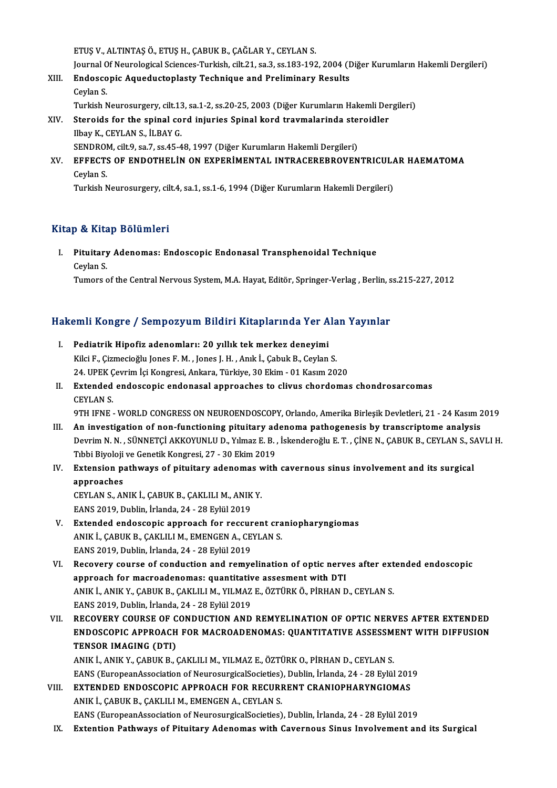ETUŞV.,ALTINTAŞÖ.,ETUŞH.,ÇABUKB.,ÇAĞLARY.,CEYLANS.

Journal Of Neurological Sciences-Turkish, cilt.21, sa.3, ss.183-192, 2004 (Diğer Kurumların Hakemli Dergileri)

ETUŞ V., ALTINTAŞ Ö., ETUŞ H., ÇABUK B., ÇAĞLAR Y., CEYLAN S.<br>Journal Of Neurological Sciences-Turkish, cilt.21, sa.3, ss.183-192, 2004 (I<br>XIII. Endoscopic Aqueductoplasty Technique and Preliminary Results Journal O<br><mark>Endosco</mark><br>Ceylan S.<br>Turkish N Endoscopic Aqueductoplasty Technique and Preliminary Results<br>Ceylan S.<br>Turkish Neurosurgery, cilt.13, sa.1-2, ss.20-25, 2003 (Diğer Kurumların Hakemli Dergileri)<br>Staraids for the spinal sord injuries Spinal kord traumaları Ceylan S.<br>Turkish Neurosurgery, cilt.13, sa.1-2, ss.20-25, 2003 (Diğer Kurumların Hakemli Den<br>XIV. Steroids for the spinal cord injuries Spinal kord travmalarinda steroidler<br>Rhav K. CEVLAN S. İLBAV C

- Turkish Neurosurgery, cilt.13<br>Steroids for the spinal co<br>Ilbay K., CEYLAN S., İLBAY G.<br>SENDROM, cilt.9, 83.7, 83.45.4 Steroids for the spinal cord injuries Spinal kord travmalarinda ste:<br>Ilbay K., CEYLAN S., İLBAY G.<br>SENDROM, cilt.9, sa.7, ss.45-48, 1997 (Diğer Kurumların Hakemli Dergileri)<br>FEFECTS OF ENDOTHELİN ON EVPERİMENTAL INTRACERER SENDROM, cilt.9, sa.7, ss.45-48, 1997 (Diğer Kurumların Hakemli Dergileri)
- Ilbay K., CEYLAN S., İLBAY G.<br>SENDROM, cilt.9, sa.7, ss.45-48, 1997 (Diğer Kurumların Hakemli Dergileri)<br>XV. EFFECTS OF ENDOTHELİN ON EXPERİMENTAL INTRACEREBROVENTRICULAR HAEMATOMA<br>Ceylan S. Turkish Neurosurgery, cilt.4, sa.1, ss.1-6, 1994 (Diğer Kurumların Hakemli Dergileri)

# Kitap & Kitap Bölümleri

I. Pituitary Adenomas: Endoscopic Endonasal Transphenoidal Technique pet Arce<br>Pituitary<br>Ceylan S. Ceylan S.<br>Tumors of the Central Nervous System, M.A. Hayat, Editör, Springer-Verlag , Berlin, ss.215-227, 2012

# iumors of the Central Nervous System, M.A. Hayat, Editor, Springer-verlag , Berlin, s<br>Hakemli Kongre / Sempozyum Bildiri Kitaplarında Yer Alan Yayınlar

- akemli Kongre / Sempozyum Bildiri Kitaplarında Yer A<br>I. Pediatrik Hipofiz adenomları: 20 yıllık tek merkez deneyimi<br>Kilgi E. Cizmesieğlu Japes E.M., Japes L.H., Apık L. Cabuk B. Cavlar I. Pediatrik Hipofiz adenomları: 20 yıllık tek merkez deneyimi<br>Kilci F., Çizmecioğlu Jones F. M., Jones J. H., Anık İ., Çabuk B., Ceylan S. Pediatrik Hipofiz adenomları: 20 yıllık tek merkez deneyimi<br>Kilci F., Çizmecioğlu Jones F. M. , Jones J. H. , Anık İ., Çabuk B., Ceylan S.<br>24. UPEK Çevrim İçi Kongresi, Ankara, Türkiye, 30 Ekim - 01 Kasım 2020<br>Extended end
- II. Extended endoscopic endonasal approaches to clivus chordomas chondrosarcomas CEYLAN S. 24. UPEK Ç<br>**Extended**<br>CEYLAN S.<br>OTH JENE 9TH IFNE - WORLD CONGRESS ON NEUROENDOSCOPY, Orlando, Amerika Birleşik Devletleri, 21 - 24 Kasım 2019
- III. An investigation of non-functioning pituitary adenoma pathogenesis by transcriptome analysis 9TH IFNE - WORLD CONGRESS ON NEUROENDOSCOPY, Orlando, Amerika Birleşik Devletleri, 21 - 24 Kasım 2019<br>An investigation of non-functioning pituitary adenoma pathogenesis by transcriptome analysis<br>Devrim N. N. , SÜNNETÇİ AKK An investigation of non-functioning pituitary ad<br>Devrim N. N. , SÜNNETÇİ AKKOYUNLU D., Yılmaz E. B. ,<br>Tıbbi Biyoloji ve Genetik Kongresi, 27 - 30 Ekim 2019<br>Extension nathways of nituitary adapamas with Devrim N. N. , SÜNNETÇİ AKKOYUNLU D., Yılmaz E. B. , İskenderoğlu E. T. , ÇİNE N., ÇABUK B., CEYLAN S., S.<br>Tıbbi Biyoloji ve Genetik Kongresi, 27 - 30 Ekim 2019<br>IV. Extension pathways of pituitary adenomas with cavernous s
- Tibbi Biyoloji ve Genetik Kongresi, 27 30 Ekim 2019<br>IV. Extension pathways of pituitary adenomas with cavernous sinus involvement and its surgical<br>approaches Extension pathways of pituitary adenomas v<br>approaches<br>CEYLAN S., ANIK İ., ÇABUK B., ÇAKLILI M., ANIK Y.<br>EANS 2010. Dublin. İrlanda 24., 28 Erlül 2010.
	- approaches<br>CEYLAN S., ANIK İ., ÇABUK B., ÇAKLILI M., ANIK<br>EANS 2019, Dublin, İrlanda, 24 28 Eylül 2019<br>Extended endessenis annraash for ressur
- EANS 2019, Dublin, İrlanda, 24 28 Eylül 2019<br>V. Extended endoscopic approach for reccurent craniopharyngiomas EANS 2019, Dublin, İrlanda, 24 - 28 Eylül 2019<br>Extended endoscopic approach for reccurent cra<br>ANIK İ., ÇABUK B., ÇAKLILI M., EMENGEN A., CEYLAN S.<br>EANS 2019, Dublin, İrlanda 24 - 28 Eylül 2019 Extended endoscopic approach for reccur<br>ANIK İ., ÇABUK B., ÇAKLILI M., EMENGEN A., CE<br>EANS 2019, Dublin, İrlanda, 24 - 28 Eylül 2019<br>Besevery sevree of sendustion and remys
- EANS 2019, Dublin, İrlanda, 24 28 Eylül 2019<br>VI. Recovery course of conduction and remyelination of optic nerves after extended endoscopic EANS 2019, Dublin, İrlanda, 24 - 28 Eylül 2019<br>Recovery course of conduction and remyelination of optic nerve<br>approach for macroadenomas: quantitative assesment with DTI<br>ANIK LANIK Y, CAPUK B, CAKULLM, YUMAZ E, ÖZTÜPKÖ, Pİ ANIK İ., ANIK Y., ÇABUK B., ÇAKLILI M., YILMAZ E., ÖZTÜRK Ö., PİRHAN D., CEYLAN S.<br>EANS 2019, Dublin, İrlanda, 24 - 28 Eylül 2019 approach for macroadenomas: quantitativ<br>ANIK İ., ANIK Y., ÇABUK B., ÇAKLILI M., YILMAZ<br>EANS 2019, Dublin, İrlanda, 24 - 28 Eylül 2019<br>BECOVERY COURSE OE CONDUCTION AND ANIK İ., ANIK Y., ÇABUK B., ÇAKLILI M., YILMAZ E., ÖZTÜRK Ö., PİRHAN D., CEYLAN S.<br>EANS 2019, Dublin, İrlanda, 24 - 28 Eylül 2019<br>VII. RECOVERY COURSE OF CONDUCTION AND REMYELINATION OF OPTIC NERVES AFTER EXTENDED<br>ENDO
- EANS 2019, Dublin, İrlanda, 24 28 Eylül 2019<br>RECOVERY COURSE OF CONDUCTION AND REMYELINATION OF OPTIC NERVES AFTER EXTENDED<br>ENDOSCOPIC APPROACH FOR MACROADENOMAS: QUANTITATIVE ASSESSMENT WITH DIFFUSION<br>TENSOR IMACINC (OT RECOVERY COURSE OF C<br>ENDOSCOPIC APPROACH<br>TENSOR IMAGING (DTI)<br>ANIK LANIK Y CAPIIK P ( ENDOSCOPIC APPROACH FOR MACROADENOMAS: QUANTITATIVE ASSESSM<br>TENSOR IMAGING (DTI)<br>ANIK İ., ANIK Y., ÇABUK B., ÇAKLILI M., YILMAZ E., ÖZTÜRK O., PİRHAN D., CEYLAN S.<br>FANS (European Assesiation of NeurosurgicalSociation), Dub

TENSOR IMAGING (DTI)<br>ANIK İ., ANIK Y., ÇABUK B., ÇAKLILI M., YILMAZ E., ÖZTÜRK O., PİRHAN D., CEYLAN S.<br>EANS (EuropeanAssociation of NeurosurgicalSocieties), Dublin, İrlanda, 24 - 28 Eylül 2019<br>EXTENDED ENDOSCORIC ARRROACH EANS (EuropeanAssociation of NeurosurgicalSocieties), Dublin, İrlanda, 24 - 28 Eylül 2019

- VIII. EXTENDED ENDOSCOPIC APPROACH FOR RECURRENT CRANIOPHARYNGIOMAS<br>ANIK İ., ÇABUK B., ÇAKLILI M., EMENGEN A., CEYLAN S. EANS (EuropeanAssociation of NeurosurgicalSocieties), Dublin, İrlanda, 24 - 28 Eylül 2019
	- IX. Extention Pathways of Pituitary Adenomas with Cavernous Sinus Involvement and its Surgical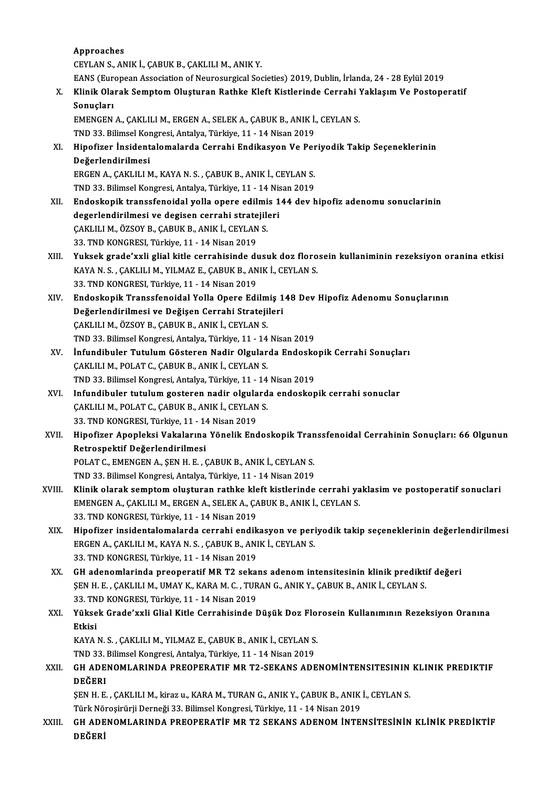Approaches CEYLANS.,ANIKİ.,ÇABUKB.,ÇAKLILIM.,ANIKY. Approaches<br>CEYLAN S., ANIK İ., ÇABUK B., ÇAKLILI M., ANIK Y.<br>EANS (European Association of Neurosurgical Societies) 2019, Dublin, İrlanda, 24 - 28 Eylül 2019<br>Klinik Olanak Samptam Olyatunan Bathka Klaft Kistlaninda Cannabi X. Klinik Olarak Semptom Oluşturan Rathke Kleft Kistlerinde Cerrahi Yaklaşım Ve Postoperatif<br>Sonuçları EANS (Eur<br>Klinik Ola<br>Sonuçları<br>EMENCEN Klinik Olarak Semptom Oluşturan Rathke Kleft Kistlerinde Cerrahi !<br>Sonuçları<br>EMENGEN A., ÇAKLILI M., ERGEN A., SELEK A., ÇABUK B., ANIK İ., CEYLAN S.<br>TND 32. Bilimsel Kongresi, Artalya Türkiye 11, 14 Nisan 2019 Sonuçları<br>EMENGEN A., ÇAKLILI M., ERGEN A., SELEK A., ÇABUK B., ANIK İ.<br>TND 33. Bilimsel Kongresi, Antalya, Türkiye, 11 - 14 Nisan 2019<br>Hinofirer İnsidentalemalarda Gerrebi, Endikasyon Ve Ber XI. Hipofizer İnsidentalomalarda Cerrahi Endikasyon Ve Periyodik Takip Seçeneklerinin TND 33. Bilimsel Kongresi, Antalya, Türkiye, 11 - 14 Nisan 2019 Hipofizer İnsidentalomalarda Cerrahi Endikasyon Ve Per<br>Değerlendirilmesi<br>ERGEN A., ÇAKLILI M., KAYA N. S. , ÇABUK B., ANIK İ., CEYLAN S.<br>TND 22. Bilimsel Kongresi, Antalya Türkiye 11 - 14 Nisan 2019. De<mark>ğerlendirilmesi</mark><br>ERGEN A., ÇAKLILI M., KAYA N. S. , ÇABUK B., ANIK İ., CEYLAN S.<br>TND 33. Bilimsel Kongresi, Antalya, Türkiye, 11 - 14 Nisan 2019<br>Endeskenik transsfonaidal yalla anara adilmiş 144 dayı b XII. Endoskopik transsfenoidal yolla opere edilmis 144 dev hipofiz adenomu sonuclarinin<br>degerlendirilmesi ve degisen cerrahi stratejileri TND 33. Bilimsel Kongresi, Antalya, Türkiye, 11 - 14 Nisan 2019 Endoskopik transsfenoidal yolla opere edilmi<br>degerlendirilmesi ve degisen cerrahi stratejil<br>ÇAKLILI M., ÖZSOY B., ÇABUK B., ANIK İ., CEYLAN S.<br>22. TND KONCRESI, Türkiye 11, 14 Niser 2019 degerlendirilmesi ve degisen cerrahi strate<br>ÇAKLILI M., ÖZSOY B., ÇABUK B., ANIK İ., CEYLAN<br>33. TND KONGRESI, Türkiye, 11 - 14 Nisan 2019<br>Yukaak anada'uvli glial kitle sanrahisinde dı CAKLILI M., ÖZSOY B., ÇABUK B., ANIK İ., CEYLAN S.<br>33. TND KONGRESI, Türkiye, 11 - 14 Nisan 2019<br>XIII. Yuksek grade'xxli glial kitle cerrahisinde dusuk doz florosein kullaniminin rezeksiyon oranina etkisi 33. TND KONGRESI, Türkiye, 11 - 14 Nisan 2019<br>Yuksek grade'xxli glial kitle cerrahisinde dusuk doz floro<br>KAYA N. S. , ÇAKLILI M., YILMAZ E., ÇABUK B., ANIK İ., CEYLAN S.<br>22. TND KONGRESI, Türkiye, 11 - 14 Nisan 2019 Yuksek grade'xxli glial kitle cerrahisinde di<br>KAYA N.S., ÇAKLILI M., YILMAZ E., ÇABUK B., AN<br>33. TND KONGRESI, Türkiye, 11 - 14 Nisan 2019<br>Endeskenik Transsfonaidal Yalla Onara Edi XAYA N. S. , ÇAKLILI M., YILMAZ E., ÇABUK B., ANIK İ., CEYLAN S.<br>33. TND KONGRESI, Türkiye, 11 - 14 Nisan 2019<br>XIV. Endoskopik Transsfenoidal Yolla Opere Edilmiş 148 Dev Hipofiz Adenomu Sonuçlarının 33. TND KONGRESI, Türkiye, 11 - 14 Nisan 2019<br>Endoskopik Transsfenoidal Yolla Opere Edilmiş 1<br>Değerlendirilmesi ve Değişen Cerrahi Stratejileri<br>CAKULLM, ÖZSOV B. CABUK B. ANIK İ. CEVLAN S Endoskopik Transsfenoidal Yolla Opere Edilm<br>Değerlendirilmesi ve Değişen Cerrahi Strateji<br>ÇAKLILI M., ÖZSOY B., ÇABUK B., ANIK İ., CEYLAN S.<br>TND 32 Bilimsel Kongresi Antalya Türkiye 11 - 14 Değerlendirilmesi ve Değişen Cerrahi Stratejileri<br>ÇAKLILI M., ÖZSOY B., ÇABUK B., ANIK İ., CEYLAN S.<br>TND 33. Bilimsel Kongresi, Antalya, Türkiye, 11 - 14 Nisan 2019<br>İnfundibuler Tutulum Gösteren Nadir Olsularda Endeske CAKLILI M., ÖZSOY B., ÇABUK B., ANIK İ., CEYLAN S.<br>TND 33. Bilimsel Kongresi, Antalya, Türkiye, 11 - 14 Nisan 2019<br>XV. İnfundibuler Tutulum Gösteren Nadir Olgularda Endoskopik Cerrahi Sonuçları<br>CAKLILIM, POLAT C. CABLI TND 33. Bilimsel Kongresi, Antalya, Türkiye, 11 - 14<br>İnfundibuler Tutulum Gösteren Nadir Olgular<br>ÇAKLILI M., POLAT C., ÇABUK B., ANIK İ., CEYLAN S.<br>TND 32. Bilimsel Kongresi, Antalya Türkiye, 11 - 14 İnfundibuler Tutulum Gösteren Nadir Olgularda Endosko<br>ÇAKLILI M., POLAT C., ÇABUK B., ANIK İ., CEYLAN S.<br>TND 33. Bilimsel Kongresi, Antalya, Türkiye, 11 - 14 Nisan 2019<br>Infundibuler tutulum gesteren nadir olgularda endeske CAKLILI M., POLAT C., CABUK B., ANIK İ., CEYLAN S.<br>TND 33. Bilimsel Kongresi, Antalya, Türkiye, 11 - 14 Nisan 2019<br>XVI. Infundibuler tutulum gosteren nadir olgularda endoskopik cerrahi sonuclar<br>CAKLILIM, POLAT C. CARLIK R. TND 33. Bilimsel Kongresi, Antalya, Türkiye, 11 - 14<br>Infundibuler tutulum gosteren nadir olgulard<br>ÇAKLILI M., POLAT C., ÇABUK B., ANIK İ., CEYLAN S.<br>22. TND KONCRESI, Türkiye, 11 - 14 Nisar 2019 Infundibuler tutulum gosteren nadir olgula<br>ÇAKLILI M., POLAT C., ÇABUK B., ANIK İ., CEYLAN<br>33. TND KONGRESI, Türkiye, 11 - 14 Nisan 2019<br>Hinofiren Anenleksi Vekslerune Yönelik End ÇAKLILI M., POLAT C., ÇABUK B., ANIK İ., CEYLAN S.<br>33. TND KONGRESI, Türkiye, 11 - 14 Nisan 2019<br>XVII. Hipofizer Apopleksi Vakalarına Yönelik Endoskopik Transsfenoidal Cerrahinin Sonuçları: 66 Olgunun<br>Retrespektif Değe 33. TND KONGRESI, Türkiye, 11 - 14<br>Hipofizer Apopleksi Vakalarına<br>Retrospektif Değerlendirilmesi<br>POLAT C. EMENCEN A. SEN H.E. G Hipofizer Apopleksi Vakalarına Yönelik Endoskopik Tran<br>Retrospektif Değerlendirilmesi<br>POLAT C., EMENGEN A., ŞEN H. E. , ÇABUK B., ANIK İ., CEYLAN S.<br>TND 22. Bilimsel Kongresi, Antalya Türkiye 11, 14 Nisen 2019. Retrospektif Değerlendirilmesi<br>POLAT C., EMENGEN A., ŞEN H. E. , ÇABUK B., ANIK İ., CEYLAN S.<br>TND 33. Bilimsel Kongresi, Antalya, Türkiye, 11 - 14 Nisan 2019 POLAT C., EMENGEN A., ŞEN H. E. , ÇABUK B., ANIK İ., CEYLAN S.<br>TND 33. Bilimsel Kongresi, Antalya, Türkiye, 11 - 14 Nisan 2019<br>XVIII. Klinik olarak semptom oluşturan rathke kleft kistlerinde cerrahi yaklasim ve postoperati TND 33. Bilimsel Kongresi, Antalya, Türkiye, 11 - 14 Nisan 2019<br>Klinik olarak semptom oluşturan rathke kleft kistlerinde cerrahi ya<br>EMENGEN A., ÇAKLILI M., ERGEN A., SELEK A., ÇABUK B., ANIK İ., CEYLAN S.<br>22. TND KONGBESL Klinik olarak semptom oluşturan rathke kle<br>EMENGEN A., ÇAKLILI M., ERGEN A., SELEK A., ÇA<br>33. TND KONGRESI, Türkiye, 11 - 14 Nisan 2019<br>Hinefiren insidentalemalarda serrahi endik EMENGEN A., ÇAKLILI M., ERGEN A., SELEK A., ÇABUK B., ANIK İ., CEYLAN S.<br>33. TND KONGRESI, Türkiye, 11 - 14 Nisan 2019<br>XIX. Hipofizer insidentalomalarda cerrahi endikasyon ve periyodik takip seçeneklerinin değerlendiri 33. TND KONGRESI, Türkiye, 11 - 14 Nisan 2019<br>Hipofizer insidentalomalarda cerrahi endikasyon ve peri<br>ERGEN A., ÇAKLILI M., KAYA N. S. , ÇABUK B., ANIK İ., CEYLAN S.<br>22. TND KONGRESI, Türkiye, 11 - 14 Nisan 2019 ERGEN A., ÇAKLILI M., KAYA N. S., ÇABUK B., ANIK İ., CEYLAN S.<br>33. TND KONGRESI, Türkiye, 11 - 14 Nisan 2019 ERGEN A., ÇAKLILI M., KAYA N. S. , ÇABUK B., ANIK İ., CEYLAN S.<br>33. TND KONGRESI, Türkiye, 11 - 14 Nisan 2019<br>XX. GH adenomlarinda preoperatif MR T2 sekans adenom intensitesinin klinik prediktif değeri<br>SEN H E GAVI I 33. TND KONGRESI, Türkiye, 11 - 14 Nisan 2019<br>GH adenomlarinda preoperatif MR T2 sekans adenom intensitesinin klinik predikti<br>ŞEN H. E. , ÇAKLILI M., UMAY K., KARA M. C. , TURAN G., ANIK Y., ÇABUK B., ANIK İ., CEYLAN S.<br>22 GH adenomlarinda preoperatif MR T2 seka:<br>ŞEN H. E. , ÇAKLILI M., UMAY K., KARA M. C. , TUR<br>33. TND KONGRESI, Türkiye, 11 - 14 Nisan 2019<br>Yüksek Crade'yuli Clial Kitle Cerrebisinde I ŞEN H. E. , ÇAKLILI M., UMAY K., KARA M. C. , TURAN G., ANIK Y., ÇABUK B., ANIK İ., CEYLAN S.<br>33. TND KONGRESI, Türkiye, 11 - 14 Nisan 2019<br>XXI. Yüksek Grade'xxli Glial Kitle Cerrahisinde Düşük Doz Florosein Kullanımın 33. TN<br>Yükse<br>Etkisi<br><sup>VAVA</sup> Yüksek Grade'xxli Glial Kitle Cerrahisinde Düşük Doz Flo:<br>Etkisi<br>KAYA N. S. , ÇAKLILI M., YILMAZ E., ÇABUK B., ANIK İ., CEYLAN S.<br>TND 22. Bilimsel Kongresi, Antelya Türkiye, 11, 14 Nisan 2019. Etkisi<br>KAYA N. S. , ÇAKLILI M., YILMAZ E., ÇABUK B., ANIK İ., CEYLAN S.<br>TND 33. Bilimsel Kongresi, Antalya, Türkiye, 11 - 14 Nisan 2019 XXI . GH ADENOMLARINDA PREOPERATIF MR T2-SEKANS ADENOMİNTENSITESININ KLINIK PREDIKTIF DEĞERI GH ADENOMLARINDA PREOPERATIF MR T2-SEKANS ADENOMİNTENSITESININ<br>DEĞERI<br>ŞEN H. E. , ÇAKLILI M., kiraz u., KARA M., TURAN G., ANIK Y., ÇABUK B., ANIK İ., CEYLAN S.<br>Türk Nörosirünü Derneği 22. Bilimsel Konspesi, Türkiye, 11, , D<mark>EĞERI</mark><br>ŞEN H. E. , ÇAKLILI M., kiraz u., KARA M., TURAN G., ANIK Y., ÇABUK B., ANIK<br>Türk Nöroşirürji Derneği 33. Bilimsel Kongresi, Türkiye, 11 - 14 Nisan 2019<br>CH ADENOMI ARINDA PREORERATİE MR T2 SEKANS ADENOM İNTE ŞEN H. E. , ÇAKLILI M., kiraz u., KARA M., TURAN G., ANIK Y., ÇABUK B., ANIK İ., CEYLAN S.<br>Türk Nöroşirürji Derneği 33. Bilimsel Kongresi, Türkiye, 11 - 14 Nisan 2019<br>XXIII. GH ADENOMLARINDA PREOPERATİF MR T2 SEKANS AD Türk Nö<br>GH ADE<br>DEĞERİ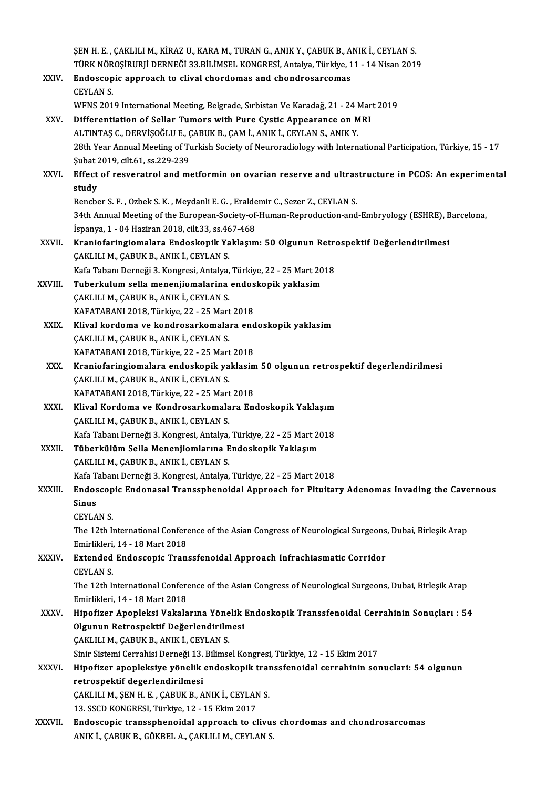|              | ŞEN H. E., ÇAKLILI M., KİRAZ U., KARA M., TURAN G., ANIK Y., ÇABUK B., ANIK İ., CEYLAN S.                                                           |
|--------------|-----------------------------------------------------------------------------------------------------------------------------------------------------|
|              | TÜRK NÖROŞİRURJİ DERNEĞİ 33.BİLİMSEL KONGRESİ, Antalya, Türkiye, 11 - 14 Nisan 2019                                                                 |
| XXIV.        | Endoscopic approach to clival chordomas and chondrosarcomas                                                                                         |
|              | <b>CEYLAN S.</b>                                                                                                                                    |
|              | WFNS 2019 International Meeting, Belgrade, Sırbistan Ve Karadağ, 21 - 24 Mart 2019                                                                  |
| XXV.         | Differentiation of Sellar Tumors with Pure Cystic Appearance on MRI                                                                                 |
|              | ALTINTAȘ C., DERVIȘOĞLU E., ÇABUK B., ÇAM İ., ANIK İ., CEYLAN S., ANIK Y.                                                                           |
|              | 28th Year Annual Meeting of Turkish Society of Neuroradiology with International Participation, Türkiye, 15 - 17<br>Şubat 2019, cilt 61, ss 229-239 |
| XXVI.        | Effect of resveratrol and metformin on ovarian reserve and ultrastructure in PCOS: An experimental                                                  |
|              | study                                                                                                                                               |
|              | Rencber S. F., Ozbek S. K., Meydanli E. G., Eraldemir C., Sezer Z., CEYLAN S.                                                                       |
|              | 34th Annual Meeting of the European-Society-of-Human-Reproduction-and-Embryology (ESHRE), Barcelona,                                                |
|              | İspanya, 1 - 04 Haziran 2018, cilt 33, ss 467-468                                                                                                   |
| <b>XXVII</b> | Kraniofaringiomalara Endoskopik Yaklaşım: 50 Olgunun Retrospektif Değerlendirilmesi                                                                 |
|              | CAKLILI M., CABUK B., ANIK İ., CEYLAN S.                                                                                                            |
|              | Kafa Tabanı Derneği 3. Kongresi, Antalya, Türkiye, 22 - 25 Mart 2018                                                                                |
| XXVIII.      | Tuberkulum sella menenjiomalarina endoskopik yaklasim                                                                                               |
|              | ÇAKLILI M., ÇABUK B., ANIK İ., CEYLAN S.                                                                                                            |
|              | KAFATABANI 2018, Türkiye, 22 - 25 Mart 2018                                                                                                         |
| XXIX.        | Klival kordoma ve kondrosarkomalara endoskopik yaklasim                                                                                             |
|              | ÇAKLILI M., ÇABUK B., ANIK İ., CEYLAN S.                                                                                                            |
|              | KAFATABANI 2018, Türkiye, 22 - 25 Mart 2018                                                                                                         |
| XXX.         | Kraniofaringiomalara endoskopik yaklasim 50 olgunun retrospektif degerlendirilmesi                                                                  |
|              | ÇAKLILI M., ÇABUK B., ANIK İ., CEYLAN S.                                                                                                            |
|              | KAFATABANI 2018, Türkiye, 22 - 25 Mart 2018                                                                                                         |
| XXXI.        | Klival Kordoma ve Kondrosarkomalara Endoskopik Yaklaşım                                                                                             |
|              | ÇAKLILI M., ÇABUK B., ANIK İ., CEYLAN S.                                                                                                            |
|              | Kafa Tabanı Derneği 3. Kongresi, Antalya, Türkiye, 22 - 25 Mart 2018                                                                                |
| <b>XXXII</b> | Tüberkülüm Sella Menenjiomlarına Endoskopik Yaklaşım                                                                                                |
|              | ÇAKLILI M., ÇABUK B., ANIK İ., CEYLAN S.                                                                                                            |
|              | Kafa Tabanı Derneği 3. Kongresi, Antalya, Türkiye, 22 - 25 Mart 2018                                                                                |
| XXXIII.      | Endoscopic Endonasal Transsphenoidal Approach for Pituitary Adenomas Invading the Cavernous                                                         |
|              | Sinus                                                                                                                                               |
|              | <b>CEYLAN S.</b>                                                                                                                                    |
|              | The 12th International Conference of the Asian Congress of Neurological Surgeons, Dubai, Birleşik Arap                                              |
|              | Emirlikleri, 14 - 18 Mart 2018                                                                                                                      |
| <b>XXXIV</b> | Extended Endoscopic Transsfenoidal Approach Infrachiasmatic Corridor                                                                                |
|              | <b>CEYLAN S.</b>                                                                                                                                    |
|              | The 12th International Conference of the Asian Congress of Neurological Surgeons, Dubai, Birleşik Arap                                              |
|              | Emirlikleri, 14 - 18 Mart 2018                                                                                                                      |
| XXXV.        | Hipofizer Apopleksi Vakalarına Yönelik Endoskopik Transsfenoidal Cerrahinin Sonuçları : 54                                                          |
|              | Olgunun Retrospektif Değerlendirilmesi                                                                                                              |
|              | ÇAKLILI M., ÇABUK B., ANIK İ., CEYLAN S.                                                                                                            |
|              | Sinir Sistemi Cerrahisi Derneği 13. Bilimsel Kongresi, Türkiye, 12 - 15 Ekim 2017                                                                   |
| <b>XXXVI</b> | Hipofizer apopleksiye yönelik endoskopik transsfenoidal cerrahinin sonuclari: 54 olgunun                                                            |
|              | retrospektif degerlendirilmesi                                                                                                                      |
|              | ÇAKLILI M., ŞEN H. E. , ÇABUK B., ANIK İ., CEYLAN S.                                                                                                |
|              | 13. SSCD KONGRESI, Türkiye, 12 - 15 Ekim 2017                                                                                                       |
| XXXVII.      | Endoscopic transsphenoidal approach to clivus chordomas and chondrosarcomas                                                                         |
|              | ANIK İ., ÇABUK B., GÖKBEL A., ÇAKLILI M., CEYLAN S.                                                                                                 |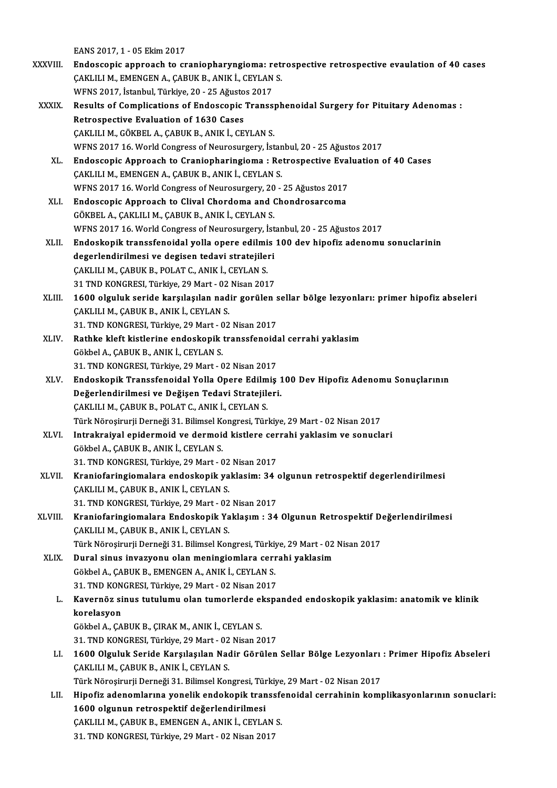EANS2017,1 -05Ekim2017

- XXXVIII. Endoscopic approach to craniopharyngioma: retrospective retrospective evaulation of 40 cases EANS 2017, 1 - 05 Ekim 2017<br>Endoscopic approach to craniopharyngioma: retr<br>ÇAKLILI M., EMENGEN A., ÇABUK B., ANIK İ., CEYLAN S.<br>WENS 2017, İstanbul Türkiye 20 - 25 Ağustes 2017 Endoscopic approach to craniopharyngioma: r<br>ÇAKLILI M., EMENGEN A., ÇABUK B., ANIK İ., CEYLAN<br>WFNS 2017, İstanbul, Türkiye, 20 - 25 Ağustos 2017<br>Pesults of Complisations of Endossopis Transs WFNS 2017, İstanbul, Türkiye, 20 - 25 Ağustos 2017
	- XXXIX. Results of Complications of Endoscopic Transsphenoidal Surgery for Pituitary Adenomas : ÇAKLILI M., GÖKBEL A., ÇABUK B., ANIK İ., CEYLAN S. WFNS 2017 16. World Congress of Neurosurgery, İstanbul, 20 - 25 Ağustos 2017 CAKLILI M., GÖKBEL A., CABUK B., ANIK İ., CEYLAN S.<br>WFNS 2017 16. World Congress of Neurosurgery, İstanbul, 20 - 25 Ağustos 2017<br>XL. Endoscopic Approach to Craniopharingioma : Retrospective Evaluation of 40 Cases
		- WFNS 2017 16. World Congress of Neurosurgery, İstan<br>Endoscopic Approach to Craniopharingioma : Re<br>ÇAKLILI M., EMENGEN A., ÇABUK B., ANIK İ., CEYLAN S.<br>WENS 2017 16. World Congress of Neurosurgery, 20. Endoscopic Approach to Craniopharingioma : Retrospective Eval<br>ÇAKLILI M., EMENGEN A., ÇABUK B., ANIK İ., CEYLAN S.<br>WFNS 2017 16. World Congress of Neurosurgery, 20 - 25 Ağustos 2017<br>Endoscopis Approach to Clivel Chardoma a CAKLILI M., EMENGEN A., CABUK B., ANIK İ., CEYLAN S.<br>WFNS 2017 16. World Congress of Neurosurgery, 20 - 25 Ağustos 2017<br>XLI. Endoscopic Approach to Clival Chordoma and Chondrosarcoma<br>GÖKBEL A., CAKLILI M., CABUK B., ANIK İ WFNS 2017 16. World Congress of Neurosurgery, 20 - 25 Ağustos 2017
		- Endoscopic Approach to Clival Chordoma and Chondrosarcoma<br>GÖKBEL A., ÇAKLILI M., ÇABUK B., ANIK İ., CEYLAN S.<br>WFNS 2017 16. World Congress of Neurosurgery, İstanbul, 20 25 Ağustos 2017<br>Endoskopik transsfonoidal valla ona GÖKBEL A., ÇAKLILI M., ÇABUK B., ANIK İ., CEYLAN S.<br>WFNS 2017 16. World Congress of Neurosurgery, İstanbul, 20 - 25 Ağustos 2017<br>XLII. Endoskopik transsfenoidal yolla opere edilmis 100 dev hipofiz adenomu sonuclarinin<br>
		- WFNS 2017 16. World Congress of Neurosurgery, İst<br>Endoskopik transsfenoidal yolla opere edilmis<br>degerlendirilmesi ve degisen tedavi stratejileri<br>CAKULLM, CABUK B. POLAT C. ANIK İ. CEVLAN S Endoskopik transsfenoidal yolla opere edilmi<br>degerlendirilmesi ve degisen tedavi stratejile:<br>ÇAKLILI M., ÇABUK B., POLAT C., ANIK İ., CEYLAN S.<br>21 TND KONCRESI Türkiye 20 Mert. 02 Niser 201 degerlendirilmesi ve degisen tedavi stratejileri<br>ÇAKLILI M., ÇABUK B., POLAT C., ANIK İ., CEYLAN S.<br>31 TND KONGRESI, Türkiye, 29 Mart - 02 Nisan 2017 CAKLILI M., ÇABUK B., POLAT C., ANIK İ., CEYLAN S.<br>31 TND KONGRESI, Türkiye, 29 Mart - 02 Nisan 2017<br>XLIII. 1600 olguluk seride karşılaşılan nadir gorülen sellar bölge lezyonları: primer hipofiz abseleri
		- 31 TND KONGRESI, Türkiye, 29 Mart 02<br>1600 olguluk seride karşılaşılan nad<br>ÇAKLILI M., ÇABUK B., ANIK İ., CEYLAN S.<br>21 TND KONGRESI, Türkiye, 20 Mart 02 1600 olguluk seride karşılaşılan nadir gorülen s<br>ÇAKLILI M., ÇABUK B., ANIK İ., CEYLAN S.<br>31. TND KONGRESI, Türkiye, 29 Mart - 02 Nisan 2017<br>Pathka klaft kistlerine endeskenik transsfeneid: CAKLILI M., ÇABUK B., ANIK İ., CEYLAN S.<br>31. TND KONGRESI, Türkiye, 29 Mart - 02 Nisan 2017<br>XLIV. Rathke kleft kistlerine endoskopik transsfenoidal cerrahi yaklasim
		- 31. TND KONGRESI, Türkiye, 29 Mart 02 Nisan 2017<br>Rathke kleft kistlerine endoskopik transsfenoid<br>Gökbel A., ÇABUK B., ANIK İ., CEYLAN S.<br>31. TND KONGRESI. Türkiye. 29 Mart 02 Nisan 2017 Rathke kleft kistlerine endoskopik transsfenoid:<br>Gökbel A., ÇABUK B., ANIK İ., CEYLAN S.<br>31. TND KONGRESI, Türkiye, 29 Mart - 02 Nisan 2017<br>Endoskopik Transsfenoidal Valla Opere Edilmis.
		- Gökbel A., ÇABUK B., ANIK İ., CEYLAN S.<br>31. TND KONGRESI, Türkiye, 29 Mart 02 Nisan 2017<br>XLV. Endoskopik Transsfenoidal Yolla Opere Edilmiş 100 Dev Hipofiz Adenomu Sonuçlarının<br>Değerlendirilmesi ve Değisen Tedevi Str 31. TND KONGRESI, Türkiye, 29 Mart - 02 Nisan 2017<br>Endoskopik Transsfenoidal Yolla Opere Edilmiş 1<br>Değerlendirilmesi ve Değişen Tedavi Stratejileri.<br>CAKULLM, CABUK B. POLAT C. ANIK İ. CEVLAN S. Endoskopik Transsfenoidal Yolla Opere Edilm<br>Değerlendirilmesi ve Değişen Tedavi Stratejilı<br>ÇAKLILI M., ÇABUK B., POLAT C., ANIK İ., CEYLAN S.<br>Türk Nörosinurii Demeği 21, Bilimsel Kongresi Tür Değerlendirilmesi ve Değişen Tedavi Stratejileri.<br>ÇAKLILI M., ÇABUK B., POLAT C., ANIK İ., CEYLAN S.<br>Türk Nöroşirurji Derneği 31. Bilimsel Kongresi, Türkiye, 29 Mart - 02 Nisan 2017 CAKLILI M., ÇABUK B., POLAT C., ANIK İ., CEYLAN S.<br>Türk Nöroşirurji Derneği 31. Bilimsel Kongresi, Türkiye, 29 Mart - 02 Nisan 2017<br>XLVI. Intrakraiyal epidermoid ve dermoid kistlere cerrahi yaklasim ve sonuclari
	- Türk Nöroşirurji Derneği 31. Bilimsel Kontakraiyal epidermoid ve dermoid<br>Gökbel A., ÇABUK B., ANIK İ., CEYLAN S.<br>21. TND KONCRESI, Türkiye 29 Mert., C Intrakraiyal epidermoid ve dermoid kistlere cer<br>Gökbel A., ÇABUK B., ANIK İ., CEYLAN S.<br>31. TND KONGRESI, Türkiye, 29 Mart - 02 Nisan 2017<br>Kraniafaringiamalara andaakanik vaklasim: 34 Gökbel A., ÇABUK B., ANIK İ., CEYLAN S.<br>31. TND KONGRESI, Türkiye, 29 Mart - 02 Nisan 2017<br>XLVII. Kraniofaringiomalara endoskopik yaklasim: 34 olgunun retrospektif degerlendirilmesi
	- 31. TND KONGRESI, Türkiye, 29 Mart 02<br>Kraniofaringiomalara endoskopik ya<br>ÇAKLILI M., ÇABUK B., ANIK İ., CEYLAN S.<br>21. TND KONGRESI, Türkiye, 20 Mart 02 Kraniofaringiomalara endoskopik yaklasim: 34 (<br>ÇAKLILI M., ÇABUK B., ANIK İ., CEYLAN S.<br>31. TND KONGRESI, Türkiye, 29 Mart - 02 Nisan 2017<br>Kraniofaringiomalara Endoskonik Yaklasım : 34 CAKLILI M., ÇABUK B., ANIK İ., CEYLAN S.<br>31. TND KONGRESI, Türkiye, 29 Mart - 02 Nisan 2017<br>XLVIII. Kraniofaringiomalara Endoskopik Yaklaşım : 34 Olgunun Retrospektif Değerlendirilmesi
	- 31. TND KONGRESI, Türkiye, 29 Mart 02<br>Kraniofaringiomalara Endoskopik Ya<br>ÇAKLILI M., ÇABUK B., ANIK İ., CEYLAN S.<br>Türk Nönesinunii Demeči 31. Bilimsel Kon Kraniofaringiomalara Endoskopik Yaklaşım : 34 Olgunun Retrospektif De<br>ÇAKLILI M., ÇABUK B., ANIK İ., CEYLAN S.<br>Türk Nöroşirurji Derneği 31. Bilimsel Kongresi, Türkiye, 29 Mart - 02 Nisan 2017<br>Dural sinus invasyonu olan man CAKLILI M., CABUK B., ANIK İ., CEYLAN S.<br>Türk Nöroşirurji Derneği 31. Bilimsel Kongresi, Türkiye, 29 Mart - 02<br>XLIX. Dural sinus invazyonu olan meningiomlara cerrahi yaklasim
		- Türk Nöroşirurji Derneği 31. Bilimsel Kongresi, Türkiy<br>Dural sinus invazyonu olan meningiomlara ceri<br>Gökbel A., ÇABUK B., EMENGEN A., ANIK İ., CEYLAN S.<br>21. TND KONGRESI, Türkiye 29 Mart 92 Nisan 2017 Dural sinus invazyonu olan meningiomlara cerr<br>Gökbel A., ÇABUK B., EMENGEN A., ANIK İ., CEYLAN S.<br>31. TND KONGRESI, Türkiye, 29 Mart - 02 Nisan 2017<br>Kavernöz sinus tutulumu olan tumarlarda akana
			- Gökbel A., ÇABUK B., EMENGEN A., ANIK İ., CEYLAN S.<br>31. TND KONGRESI, Türkiye, 29 Mart 02 Nisan 2017<br>L. Kavernöz sinus tutulumu olan tumorlerde ekspanded endoskopik yaklasim: anatomik ve klinik<br>karelasyan 31. TND KON<br>Kavernöz si<br>korelasyon<br>Göltbel A. GA Kavernöz sinus tutulumu olan tumorlerde el<br>korelasyon<br>Gökbel A., ÇABUK B., ÇIRAK M., ANIK İ., CEYLAN S.<br>21. TND KONCRESI, Türkiye 29 Mert , 92 Nisan 26 korelasyon<br>Gökbel A., ÇABUK B., ÇIRAK M., ANIK İ., CEYLAN S.<br>31. TND KONGRESI, Türkiye, 29 Mart - 02 Nisan 2017<br>1600 Olsuluk Soride Karsılasılan Nadir Görülen
			- Gökbel A., ÇABUK B., ÇIRAK M., ANIK İ., CEYLAN S.<br>31. TND KONGRESI, Türkiye, 29 Mart 02 Nisan 2017<br>LI. 1600 Olguluk Seride Karşılaşılan Nadir Görülen Sellar Bölge Lezyonları : Primer Hipofiz Abseleri<br>ÇAKLILI M., ÇABU 31. TND KONGRESI, Türkiye, 29 Mart - 02<br>1600 Olguluk Seride Karşılaşılan Nac<br>ÇAKLILI M., ÇABUK B., ANIK İ., CEYLAN S.<br>Türk Nönesinurii Demeği 31, Bilimsel Kon 1600 Olguluk Seride Karşılaşılan Nadir Görülen Sellar Bölge Lezyonları<br>ÇAKLILI M., ÇABUK B., ANIK İ., CEYLAN S.<br>Türk Nöroşirurji Derneği 31. Bilimsel Kongresi, Türkiye, 29 Mart - 02 Nisan 2017<br>Hinofir adanamlarına yanalik

ÇAKLILI M., ÇABUK B., ANIK İ., CEYLAN S.<br>Türk Nöroşirurji Derneği 31. Bilimsel Kongresi, Türkiye, 29 Mart - 02 Nisan 2017<br>LII. Hipofiz adenomlarına yonelik endokopik transsfenoidal cerrahinin komplikasyonlarının sonucl Türk Nöroşirurji Derneği 31. Bilimsel Kongresi, Tür<br>Hipofiz adenomlarına yonelik endokopik tran<br>1600 olgunun retrospektif değerlendirilmesi<br>CAKULUM, GABUK B. EMENGEN A. ANIK İ. CEVLA Hipofiz adenomlarına yonelik endokopik transsfe<br>1600 olgunun retrospektif değerlendirilmesi<br>ÇAKLILI M., ÇABUK B., EMENGEN A., ANIK İ., CEYLAN S.<br>21. TND KONGBESI, Türkiye 29 Mert - 02 Nisan 2017 1600 olgunun retrospektif değerlendirilmesi<br>ÇAKLILI M., ÇABUK B., EMENGEN A., ANIK İ., CEYLAN S.<br>31. TND KONGRESI, Türkiye, 29 Mart - 02 Nisan 2017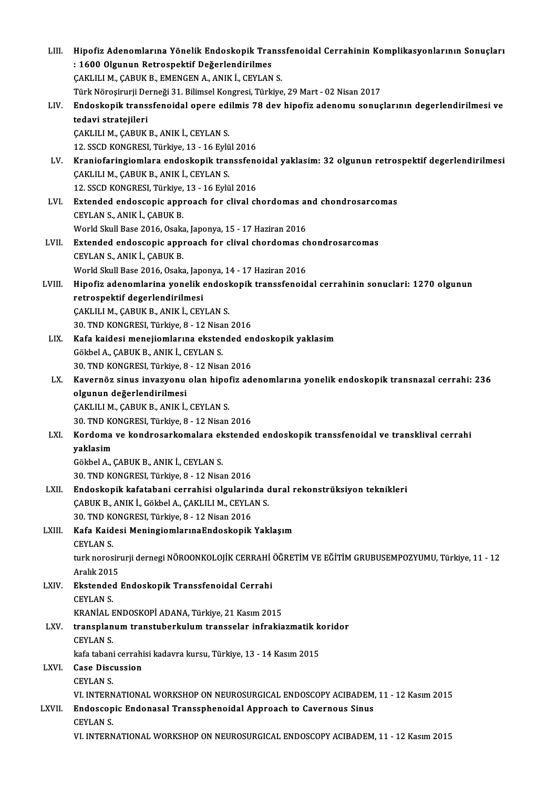| LIII.  | Hipofiz Adenomlarına Yönelik Endoskopik Transsfenoidal Cerrahinin Komplikasyonlarının Sonuçları    |
|--------|----------------------------------------------------------------------------------------------------|
|        | : 1600 Olgunun Retrospektif Değerlendirilmes                                                       |
|        | ÇAKLILI M., ÇABUK B., EMENGEN A., ANIK İ., CEYLAN S.                                               |
|        | Türk Nöroşirurji Derneği 31. Bilimsel Kongresi, Türkiye, 29 Mart - 02 Nisan 2017                   |
| LIV.   | Endoskopik transsfenoidal opere edilmis 78 dev hipofiz adenomu sonuçlarının degerlendirilmesi ve   |
|        | tedavi stratejileri                                                                                |
|        | ÇAKLILI M., ÇABUK B., ANIK İ., CEYLAN S.                                                           |
|        | 12. SSCD KONGRESI, Türkiye, 13 - 16 Eylül 2016                                                     |
| LV.    | Kraniofaringiomlara endoskopik transsfenoidal yaklasim: 32 olgunun retrospektif degerlendirilmesi  |
|        | ÇAKLILI M., ÇABUK B., ANIK İ., CEYLAN S.                                                           |
|        | 12. SSCD KONGRESI, Türkiye, 13 - 16 Eylül 2016                                                     |
| LVI.   | Extended endoscopic approach for clival chordomas and chondrosarcomas                              |
|        | CEYLAN S., ANIK İ., ÇABUK B.                                                                       |
|        | World Skull Base 2016, Osaka, Japonya, 15 - 17 Haziran 2016                                        |
| LVII.  | Extended endoscopic approach for clival chordomas chondrosarcomas                                  |
|        | CEYLAN S., ANIK İ., ÇABUK B.                                                                       |
|        | World Skull Base 2016, Osaka, Japonya, 14 - 17 Haziran 2016                                        |
| LVIII. | Hipofiz adenomlarina yonelik endoskopik transsfenoidal cerrahinin sonuclari: 1270 olgunun          |
|        | retrospektif degerlendirilmesi                                                                     |
|        | ÇAKLILI M., ÇABUK B., ANIK İ., CEYLAN S.                                                           |
|        | 30. TND KONGRESI, Türkiye, 8 - 12 Nisan 2016                                                       |
| LIX.   | Kafa kaidesi menejiomlarına ekstended endoskopik yaklasim                                          |
|        | Gökbel A., ÇABUK B., ANIK İ., CEYLAN S.                                                            |
|        | 30. TND KONGRESI, Türkiye, 8 - 12 Nisan 2016                                                       |
| LX.    | Kavernöz sinus invazyonu olan hipofiz adenomlarına yonelik endoskopik transnazal cerrahi: 236      |
|        | olgunun değerlendirilmesi                                                                          |
|        | ÇAKLILI M., ÇABUK B., ANIK İ., CEYLAN S.                                                           |
|        | 30. TND KONGRESI, Türkiye, 8 - 12 Nisan 2016                                                       |
|        | LXI. Kordoma ve kondrosarkomalara ekstended endoskopik transsfenoidal ve transklival cerrahi       |
|        | yaklasim                                                                                           |
|        | Gökbel A., CABUK B., ANIK İ., CEYLAN S.                                                            |
|        | 30. TND KONGRESI, Türkiye, 8 - 12 Nisan 2016                                                       |
| LXII.  | Endoskopik kafatabani cerrahisi olgularinda dural rekonstrüksiyon teknikleri                       |
|        | CABUK B., ANIK I., Gökbel A., CAKLILI M., CEYLAN S.                                                |
|        | 30. TND KONGRESI, Türkiye, 8 - 12 Nisan 2016                                                       |
| LXIII. | Kafa Kaidesi MeningiomlarınaEndoskopik Yaklaşım                                                    |
|        | <b>CEYLAN S.</b>                                                                                   |
|        | turk norosirurji dernegi NÖROONKOLOJİK CERRAHİ ÖĞRETİM VE EĞİTİM GRUBUSEMPOZYUMU, Türkiye, 11 - 12 |
|        | Aralık 2015                                                                                        |
| LXIV.  | Ekstended Endoskopik Transsfenoidal Cerrahi                                                        |
|        | <b>CEYLAN S</b>                                                                                    |
|        | KRANİAL ENDOSKOPİ ADANA, Türkiye, 21 Kasım 2015                                                    |
| LXV.   | transplanum transtuberkulum transselar infrakiazmatik koridor                                      |
|        | <b>CEYLAN S</b>                                                                                    |
|        | kafa tabani cerrahisi kadavra kursu, Türkiye, 13 - 14 Kasım 2015                                   |
| LXVI.  | <b>Case Discussion</b>                                                                             |
|        | <b>CEYLAN S.</b>                                                                                   |
|        | VI. INTERNATIONAL WORKSHOP ON NEUROSURGICAL ENDOSCOPY ACIBADEM, 11 - 12 Kasım 2015                 |
| LXVII. | Endoscopic Endonasal Transsphenoidal Approach to Cavernous Sinus                                   |
|        | <b>CEYLAN S</b>                                                                                    |
|        | VI. INTERNATIONAL WORKSHOP ON NEUROSURGICAL ENDOSCOPY ACIBADEM, 11 - 12 Kasım 2015                 |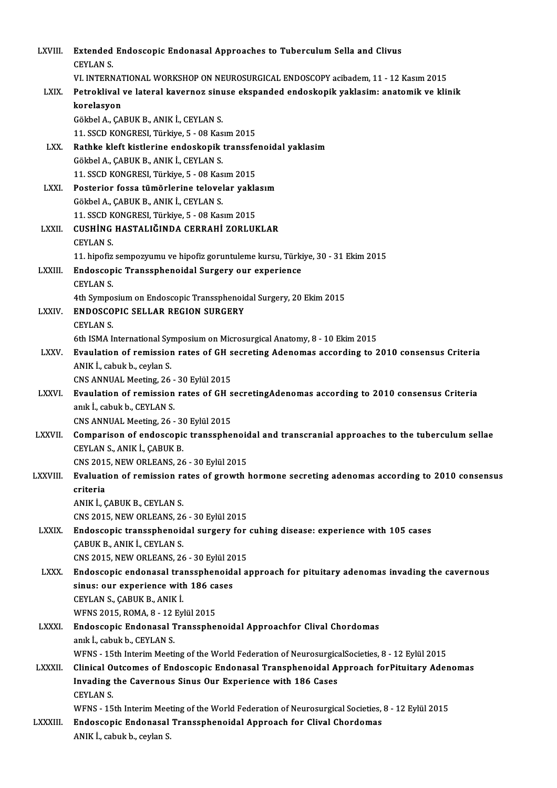| LXVIII.       | Extended Endoscopic Endonasal Approaches to Tuberculum Sella and Clivus                                                             |
|---------------|-------------------------------------------------------------------------------------------------------------------------------------|
|               | <b>CEYLAN S</b>                                                                                                                     |
|               | VI. INTERNATIONAL WORKSHOP ON NEUROSURGICAL ENDOSCOPY acibadem, 11 - 12 Kasım 2015                                                  |
| LXIX.         | Petroklival ve lateral kavernoz sinuse ekspanded endoskopik yaklasim: anatomik ve klinik                                            |
|               | korelasyon                                                                                                                          |
|               | Gökbel A., ÇABUK B., ANIK İ., CEYLAN S.                                                                                             |
|               | 11. SSCD KONGRESI, Türkiye, 5 - 08 Kasım 2015                                                                                       |
| LXX.          | Rathke kleft kistlerine endoskopik transsfenoidal yaklasim                                                                          |
|               | Gökbel A., ÇABUK B., ANIK İ., CEYLAN S.                                                                                             |
|               | 11. SSCD KONGRESI, Türkiye, 5 - 08 Kasım 2015                                                                                       |
| LXXI.         | Posterior fossa tümörlerine telovelar yaklasım                                                                                      |
|               | Gökbel A., ÇABUK B., ANIK İ., CEYLAN S.                                                                                             |
|               | 11. SSCD KONGRESI, Türkiye, 5 - 08 Kasım 2015                                                                                       |
| LXXII.        | CUSHİNG HASTALIĞINDA CERRAHİ ZORLUKLAR                                                                                              |
|               | <b>CEYLAN S.</b>                                                                                                                    |
|               | 11. hipofiz sempozyumu ve hipofiz goruntuleme kursu, Türkiye, 30 - 31 Ekim 2015                                                     |
| LXXIII.       | Endoscopic Transsphenoidal Surgery our experience<br><b>CEYLAN S</b>                                                                |
|               | 4th Symposium on Endoscopic Transsphenoidal Surgery, 20 Ekim 2015                                                                   |
| LXXIV.        | <b>ENDOSCOPIC SELLAR REGION SURGERY</b>                                                                                             |
|               | <b>CEYLAN S.</b>                                                                                                                    |
|               | 6th ISMA International Symposium on Microsurgical Anatomy, 8 - 10 Ekim 2015                                                         |
| LXXV.         | Evaulation of remission rates of GH secreting Adenomas according to 2010 consensus Criteria                                         |
|               | ANIK I., cabuk b., ceylan S.                                                                                                        |
|               | CNS ANNUAL Meeting, 26 - 30 Eylül 2015                                                                                              |
| <b>LXXVI</b>  | Evaulation of remission rates of GH secretingAdenomas according to 2010 consensus Criteria                                          |
|               | anık İ., cabuk b., CEYLAN S.                                                                                                        |
|               | CNS ANNUAL Meeting, 26 - 30 Eylül 2015                                                                                              |
| <b>LXXVII</b> | Comparison of endoscopic transsphenoidal and transcranial approaches to the tuberculum sellae                                       |
|               | CEYLAN S., ANIK İ., ÇABUK B.                                                                                                        |
|               | CNS 2015, NEW ORLEANS, 26 - 30 Eylül 2015                                                                                           |
| LXXVIII.      | Evaluation of remission rates of growth hormone secreting adenomas according to 2010 consensus                                      |
|               | criteria                                                                                                                            |
|               | ANIK I., ÇABUK B., CEYLAN S.                                                                                                        |
|               | CNS 2015, NEW ORLEANS, 26 - 30 Eylül 2015                                                                                           |
| <b>LXXIX</b>  | Endoscopic transsphenoidal surgery for cuhing disease: experience with 105 cases                                                    |
|               | ÇABUK B., ANIK İ., CEYLAN S.                                                                                                        |
| <b>LXXX</b>   | CNS 2015, NEW ORLEANS, 26 - 30 Eylül 2015                                                                                           |
|               | Endoscopic endonasal transsphenoidal approach for pituitary adenomas invading the cavernous<br>sinus: our experience with 186 cases |
|               | CEYLAN S., ÇABUK B., ANIK İ.                                                                                                        |
|               | WFNS 2015, ROMA, 8 - 12 Eylül 2015                                                                                                  |
| <b>LXXXI</b>  | Endoscopic Endonasal Transsphenoidal Approachfor Clival Chordomas                                                                   |
|               | anık İ., cabuk b., CEYLAN S.                                                                                                        |
|               | WFNS - 15th Interim Meeting of the World Federation of NeurosurgicalSocieties, 8 - 12 Eylül 2015                                    |
| <b>LXXXII</b> | Clinical Outcomes of Endoscopic Endonasal Transphenoidal Approach forPituitary Adenomas                                             |
|               | Invading the Cavernous Sinus Our Experience with 186 Cases                                                                          |
|               | <b>CEYLAN S</b>                                                                                                                     |
|               | WFNS - 15th Interim Meeting of the World Federation of Neurosurgical Societies, 8 - 12 Eylül 2015                                   |
| LXXXIII.      | Endoscopic Endonasal Transsphenoidal Approach for Clival Chordomas                                                                  |
|               | ANIK I., cabuk b., ceylan S.                                                                                                        |
|               |                                                                                                                                     |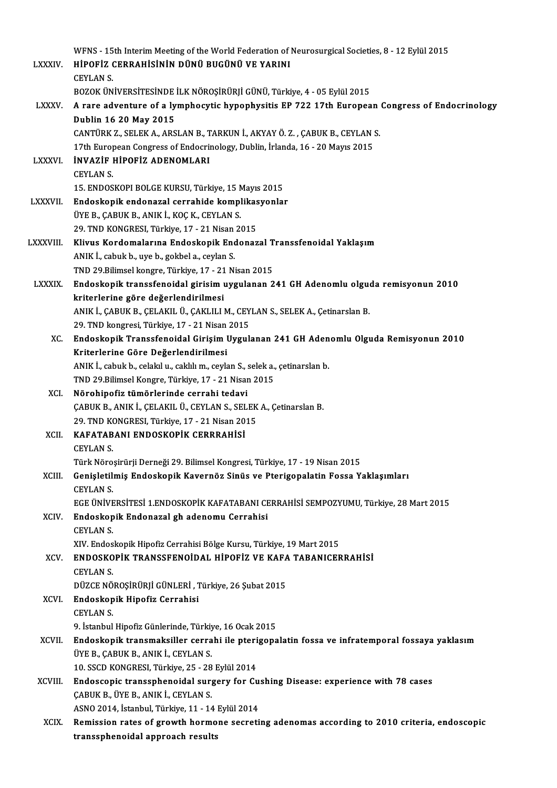|                | WFNS - 15th Interim Meeting of the World Federation of Neurosurgical Societies, 8 - 12 Eylül 2015                                 |
|----------------|-----------------------------------------------------------------------------------------------------------------------------------|
| <b>LXXXIV</b>  | HİPOFİZ CERRAHİSİNİN DÜNÜ BUGÜNÜ VE YARINI                                                                                        |
|                | <b>CEYLAN S.</b>                                                                                                                  |
|                | BOZOK ÜNIVERSITESINDE İLK NÖROŞİRÜRJİ GÜNÜ, Türkiye, 4 - 05 Eylül 2015                                                            |
| <b>LXXXV</b>   | A rare adventure of a lymphocytic hypophysitis EP 722 17th European Congress of Endocrinology                                     |
|                | Dublin 16 20 May 2015                                                                                                             |
|                | CANTÜRK Z., SELEK A., ARSLAN B., TARKUN İ., AKYAY Ö. Z., ÇABUK B., CEYLAN S.                                                      |
|                | 17th European Congress of Endocrinology, Dublin, İrlanda, 16 - 20 Mayıs 2015                                                      |
| <b>LXXXVI</b>  | <b>INVAZIF HIPOFIZ ADENOMLARI</b>                                                                                                 |
|                | <b>CEYLAN S</b>                                                                                                                   |
|                | 15. ENDOSKOPI BOLGE KURSU, Türkiye, 15 Mayıs 2015                                                                                 |
| <b>LXXXVII</b> | Endoskopik endonazal cerrahide komplikasyonlar                                                                                    |
|                | ÜYE B., ÇABUK B., ANIK İ., KOÇ K., CEYLAN S.                                                                                      |
|                | 29. TND KONGRESI, Türkiye, 17 - 21 Nisan 2015                                                                                     |
| LXXXVIII.      | Klivus Kordomalarına Endoskopik Endonazal Transsfenoidal Yaklaşım                                                                 |
|                | ANIK İ., cabuk b., uye b., gokbel a., ceylan S.                                                                                   |
|                | TND 29.Bilimsel kongre, Türkiye, 17 - 21 Nisan 2015                                                                               |
| <b>LXXXIX</b>  | Endoskopik transsfenoidal girisim uygulanan 241 GH Adenomlu olguda remisyonun 2010                                                |
|                | kriterlerine göre değerlendirilmesi                                                                                               |
|                | ANIK İ., ÇABUK B., ÇELAKIL Ü., ÇAKLILI M., CEYLAN S., SELEK A., Çetinarslan B.                                                    |
|                | 29. TND kongresi, Türkiye, 17 - 21 Nisan 2015                                                                                     |
| XC.            | Endoskopik Transsfenoidal Girişim Uygulanan 241 GH Adenomlu Olguda Remisyonun 2010                                                |
|                | Kriterlerine Göre Değerlendirilmesi                                                                                               |
|                | ANIK İ., cabuk b., celakıl u., caklılı m., ceylan S., selek a., çetinarslan b.                                                    |
|                | TND 29 Bilimsel Kongre, Türkiye, 17 - 21 Nisan 2015                                                                               |
| XCI.           | Nörohipofiz tümörlerinde cerrahi tedavi                                                                                           |
|                | ÇABUK B., ANIK İ., ÇELAKIL Ü., CEYLAN S., SELEK A., Çetinarslan B.                                                                |
|                | 29. TND KONGRESI, Türkiye, 17 - 21 Nisan 2015                                                                                     |
|                | XCII. KAFATABANI ENDOSKOPİK CERRRAHİSİ                                                                                            |
|                | <b>CEYLAN S.</b>                                                                                                                  |
|                | Türk Nöroşirürji Derneği 29. Bilimsel Kongresi, Türkiye, 17 - 19 Nisan 2015                                                       |
| XCIII.         | Genişletilmiş Endoskopik Kavernöz Sinüs ve Pterigopalatin Fossa Yaklaşımları                                                      |
|                | <b>CEYLAN S</b>                                                                                                                   |
|                | EGE ÜNİVERSİTESİ 1.ENDOSKOPİK KAFATABANI CERRAHİSİ SEMPOZYUMU, Türkiye, 28 Mart 2015                                              |
| XCIV.          | Endoskopik Endonazal gh adenomu Cerrahisi                                                                                         |
|                | <b>CEYLAN S</b>                                                                                                                   |
|                | XIV. Endoskopik Hipofiz Cerrahisi Bölge Kursu, Türkiye, 19 Mart 2015<br>ENDOSKOPİK TRANSSFENOİDAL HİPOFİZ VE KAFA TABANICERRAHİSİ |
| XCV.           |                                                                                                                                   |
|                | <b>CEYLAN S.</b><br>DÜZCE NÖROŞİRÜRJİ GÜNLERİ, Türkiye, 26 Şubat 2015                                                             |
| XCVI.          | Endoskopik Hipofiz Cerrahisi                                                                                                      |
|                | <b>CEYLAN S</b>                                                                                                                   |
|                | 9. İstanbul Hipofiz Günlerinde, Türkiye, 16 Ocak 2015                                                                             |
| XCVII.         | Endoskopik transmaksiller cerrahi ile pterigopalatin fossa ve infratemporal fossaya yaklasım                                      |
|                | ÜYE B., ÇABUK B., ANIK İ., CEYLAN S.                                                                                              |
|                | 10. SSCD KONGRESI, Türkiye, 25 - 28 Eylül 2014                                                                                    |
| XCVIII.        | Endoscopic transsphenoidal surgery for Cushing Disease: experience with 78 cases                                                  |
|                | ÇABUK B., ÜYE B., ANIK İ., CEYLAN S.                                                                                              |
|                | ASNO 2014, İstanbul, Türkiye, 11 - 14 Eylül 2014                                                                                  |
| <b>XCIX</b>    | Remission rates of growth hormone secreting adenomas according to 2010 criteria, endoscopic                                       |
|                | transsphenoidal approach results                                                                                                  |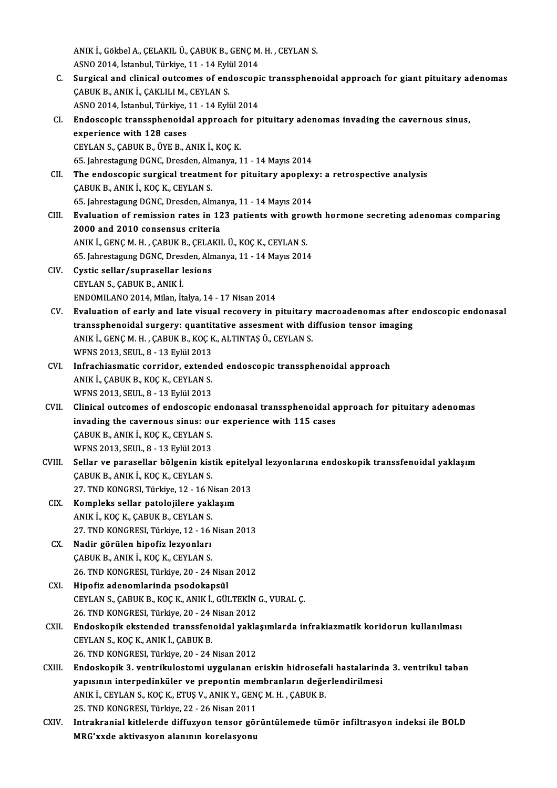ANIK İ., Gökbel A., ÇELAKIL Ü., ÇABUK B., GENÇ M. H. , CEYLAN S.<br>ASNO 2014, İstanbul Türkiye, 11, 14 Eylül 2014 ANIK İ., Gökbel A., ÇELAKIL Ü., ÇABUK B., GENÇ M<br>ASNO 2014, İstanbul, Türkiye, 11 - 14 Eylül 2014<br>Sungisal and elinisal auteamas af andassanı ANIK İ., Gökbel A., ÇELAKIL Ü., ÇABUK B., GENÇ M. H. , CEYLAN S.<br>ASNO 2014, İstanbul, Türkiye, 11 - 14 Eylül 2014<br>C. Surgical and clinical outcomes of endoscopic transsphenoidal approach for giant pituitary adenomas<br>CABUK ASNO 2014, İstanbul, Türkiye, 11 - 14 Eyli<br>Surgical and clinical outcomes of enc<br>ÇABUK B., ANIK İ., ÇAKLILI M., CEYLAN S.<br>ASNO 2014, İstanbul Türkiye, 11, 14 Eyli Surgical and clinical outcomes of endoscopi<br>ÇABUK B., ANIK İ., ÇAKLILI M., CEYLAN S.<br>ASNO 2014, İstanbul, Türkiye, 11 - 14 Eylül 2014<br>Endossonis transsnhanoidal annroash for n CABUK B., ANIK İ., CAKLILI M., CEYLAN S.<br>ASNO 2014, İstanbul, Türkiye, 11 - 14 Eylül 2014<br>CI. Bndoscopic transsphenoidal approach for pituitary adenomas invading the cavernous sinus,<br>experience with 128 cases ASNO 2014, İstanbul, Türkiye, 11 - 14 Eylül 2014<br>Endoscopic transsphenoidal approach for p<br>experience with 128 cases<br>CEYLAN S., CABUK B., ÜYE B., ANIK İ., KOÇ K. Endoscopic transsphenoidal approach f<br>experience with 128 cases<br>CEYLAN S., ÇABUK B., ÜYE B., ANIK İ., KOÇ K.<br>65 Jahrestagung DCNC Dresden Almanya 1 65. JahrestagungDGNC,Dresden,Almanya,11 -14Mayıs2014 CEYLAN S., ÇABUK B., ÜYE B., ANIK İ., KOÇ K.<br>65. Jahrestagung DGNC, Dresden, Almanya, 11 - 14 Mayıs 2014<br>CII. The endoscopic surgical treatment for pituitary apoplexy: a retrospective analysis<br>CABUK B. ANIK İ. KOÇ K. CEVLA 65. Jahrestagung DGNC, Dresden, Aln<br>The endoscopic surgical treatme<br>CABUK B., ANIK İ., KOÇ K., CEYLAN S. The endoscopic surgical treatment for pituitary apoplex<br>CABUK B., ANIK İ., KOÇ K., CEYLAN S.<br>65. Jahrestagung DGNC, Dresden, Almanya, 11 - 14 Mayıs 2014<br>Evaluation of remission rates in 122 nationts with grows CABUK B., ANIK İ., KOÇ K., CEYLAN S.<br>65. Jahrestagung DGNC, Dresden, Almanya, 11 - 14 Mayıs 2014<br>CIII. Evaluation of remission rates in 123 patients with growth hormone secreting adenomas comparing<br>2000 and 2010 conseneus 65. Jahrestagung DGNC, Dresden, Alman<br>Evaluation of remission rates in 12<br>2000 and 2010 consensus criteria Evaluation of remission rates in 123 patients with grov<br>2000 and 2010 consensus criteria<br>ANIK İ., GENÇM.H., ÇABUK B., ÇELAKIL Ü., KOÇ K., CEYLAN S.<br>65 Jahrestagung DCNC. Dreeden Almanya 11 - 14 Mayıs 2014 2000 and 2010 consensus criteria<br>ANIK İ., GENÇ M. H. , ÇABUK B., ÇELAKIL Ü., KOÇ K., CEYLAN S.<br>65. Jahrestagung DGNC, Dresden, Almanya, 11 - 14 Mayıs 2014<br>Custia sellar (aunrasellar lesians CIV. Cystic sellar/suprasellar lesions<br>CEYLAN S., CABUK B., ANIK I. 65. Jahrestagung DGNC, Dresden, Almanya, 11 - 14 Mayıs 2014 ENDOMILANO2014,Milan, İtalya,14 -17Nisan2014 CEYLAN S., ÇABUK B., ANIK İ.<br>ENDOMILANO 2014, Milan, İtalya, 14 - 17 Nisan 2014<br>CV. Evaluation of early and late visual recovery in pituitary macroadenomas after endoscopic endonasal<br>transanhanaidal sursory: suantitative a ENDOMILANO 2014, Milan, İtalya, 14 - 17 Nisan 2014<br>Evaluation of early and late visual recovery in pituitary macroadenomas after e<br>transsphenoidal surgery: quantitative assesment with diffusion tensor imaging<br>ANIK İ. CENC Evaluation of early and late visual recovery in pituitary<br>transsphenoidal surgery: quantitative assesment with d<br>ANIK İ., GENÇ M. H. , ÇABUK B., KOÇ K., ALTINTAŞ Ö., CEYLAN S.<br>WENS 2012 SEUL 9 - 12 Evlül 2012 transsphenoidal surgery: quantitative assesment with diffusion tensor imaging<br>ANIK İ., GENÇ M. H. , ÇABUK B., KOÇ K., ALTINTAŞ Ö., CEYLAN S.<br>WFNS 2013, SEUL, 8 - 13 Eylül 2013 ANIK İ., GENÇ M. H. , ÇABUK B., KOÇ K., ALTINTAŞ Ö., CEYLAN S.<br>WFNS 2013, SEUL, 8 - 13 Eylül 2013<br>CVI. Infrachiasmatic corridor, extended endoscopic transsphenoidal approach<br>ANIK İ. GABUK B. KOC K. CEVLAN S. WFNS 2013, SEUL, 8 - 13 Eylül 2013<br>Infrachiasmatic corridor, extend<br>ANIK İ., ÇABUK B., KOÇ K., CEYLAN S.<br>WENS 2012, SEUL, 8 - 12 Eylül 2012

- Infrachiasmatic corridor, extend<br>ANIK İ., ÇABUK B., KOÇ K., CEYLAN S.<br>WFNS 2013, SEUL, 8 13 Eylül 2013<br>Clinisal autaemas of andessanis ANIK İ., ÇABUK B., KOÇ K., CEYLAN S.<br>WFNS 2013, SEUL, 8 - 13 Eylül 2013<br>CVII. Clinical outcomes of endoscopic endonasal transsphenoidal approach for pituitary adenomas<br>inveding the envernous sinus: our experience with 115
- WFNS 2013, SEUL, 8 13 Eylül 2013<br>Clinical outcomes of endoscopic endonasal transsphenoidal a<br>invading the cavernous sinus: our experience with 115 cases Clinical outcomes of endoscopic<br>invading the cavernous sinus: ou<br>CABUK B., ANIK İ., KOÇ K., CEYLAN S.<br>WENS 2012 SEUL 9 - 12 Erlül 2012 invading the cavernous sinus: ou<br>ÇABUK B., ANIK İ., KOÇ K., CEYLAN S.<br>WFNS 2013, SEUL, 8 - 13 Eylül 2013<br>Sellar ve parasellar bölgenin kiçi CABUK B., ANIK İ., KOÇ K., CEYLAN S.<br>WFNS 2013, SEUL, 8 - 13 Eylül 2013<br>CVIII. Sellar ve parasellar bölgenin kistik epitelyal lezyonlarına endoskopik transsfenoidal yaklaşım<br>CABUK B. ANIK İ. KOÇ K. CEYLAN S.
- WFNS 2013, SEUL, 8 13 Eylül 2013<br>Sellar ve parasellar bölgenin kistik epitely<br>ÇABUK B., ANIK İ., KOÇ K., CEYLAN S.<br>27. TND KONGRSI, Türkiye, 12 16 Nisan 2013 Sellar ve parasellar bölgenin kistik epitely<br>ÇABUK B., ANIK İ., KOÇ K., CEYLAN S.<br>27. TND KONGRSI, Türkiye, 12 - 16 Nisan 2013<br>Kompleks seller patelejilere veklesum
- CIX. Kompleks sellar patolojilere yaklaşım ANIKİ.,KOÇK.,ÇABUKB.,CEYLANS. 27. TND KONGRESI, Türkiye, 12 - 16 Nisan 2013
- CX. Nadir görülen hipofiz lezyonları ÇABUK B., ANIK İ., KOÇ K., CEYLAN S. 26. TND KONGRESI, Türkiye, 20 - 24 Nisan 2012

CXI. Hipofiz adenomlarinda psodokapsül 26. TND KONGRESI, Türkiye, 20 - 24 Nisan 2012<br>Hipofiz adenomlarinda psodokapsül<br>CEYLAN S., ÇABUK B., KOÇ K., ANIK İ., GÜLTEKİN G., VURAL Ç.<br>26. TND KONGRESI, Türkiye, 20 - 24 Nisan 2012 Hipofiz adenomlarinda psodokapsül<br>CEYLAN S., ÇABUK B., KOÇ K., ANIK İ., GÜLTEKİN<br>26. TND KONGRESI, Türkiye, 20 - 24 Nisan 2012<br>Endeskenik ekstended transsfensidal yakla

- CEYLAN S., ÇABUK B., KOÇ K., ANIK İ., GÜLTEKİN G., VURAL Ç.<br>26. TND KONGRESI, Türkiye, 20 24 Nisan 2012<br>CXII. Bundoskopik ekstended transsfenoidal yaklaşımlarda infrakiazmatik koridorun kullanılması 26. TND KONGRESI, Türkiye, 20 - 24 |<br>Endoskopik ekstended transsfen<br>CEYLAN S., KOÇ K., ANIK İ., ÇABUK B.<br>26. TND KONGRESI, Türkiye, 20 - 24 | Endoskopik ekstended transsfenoidal yakla<br>CEYLAN S., KOÇ K., ANIK İ., ÇABUK B.<br>26. TND KONGRESI, Türkiye, 20 - 24 Nisan 2012<br>Endoskopik 3. ventrikulostami uygulanan e CEYLAN S., KOÇ K., ANIK İ., ÇABUK B.<br>26. TND KONGRESI, Türkiye, 20 - 24 Nisan 2012<br>CXIII. Endoskopik 3. ventrikulostomi uygulanan eriskin hidrosefali hastalarinda 3. ventrikul taban<br>vennanna internedinküler ve nrenenti
- 26. TND KONGRESI, Türkiye, 20 24 Nisan 2012<br>Endoskopik 3. ventrikulostomi uygulanan eriskin hidrosefali hastalarind<br>yapısının interpedinküler ve prepontin membranların değerlendirilmesi<br>ANIK İ. CEVLAN S. KOC K. ETUS V. A Endoskopik 3. ventrikulostomi uygulanan eriskin hidrosefa<br>yapısının interpedinküler ve prepontin membranların değe<br>ANIK İ., CEYLAN S., KOÇ K., ETUŞ V., ANIK Y., GENÇ M. H. , ÇABUK B.<br>25. TND KONCPESI, Türkiye 22., 26 Nisar yapısının interpedinküler ve prepontin membranların değerlendirilmesi<br>ANIK İ., CEYLAN S., KOÇ K., ETUŞ V., ANIK Y., GENÇ M. H. , ÇABUK B.<br>25. TND KONGRESI, Türkiye, 22 - 26 Nisan 2011 ANIK İ., CEYLAN S., KOÇ K., ETUŞ V., ANIK Y., GENÇ M. H. , ÇABUK B.<br>25. TND KONGRESI, Türkiye, 22 - 26 Nisan 2011<br>CXIV. Intrakranial kitlelerde diffuzyon tensor görüntülemede tümör infiltrasyon indeksi ile BOLD<br>MBC'tude ek
- 25. TND KONGRESI, Türkiye, 22 26 Nisan 2011<br>Intrakranial kitlelerde diffuzyon tensor gö:<br>MRG'xxde aktivasyon alanının korelasyonu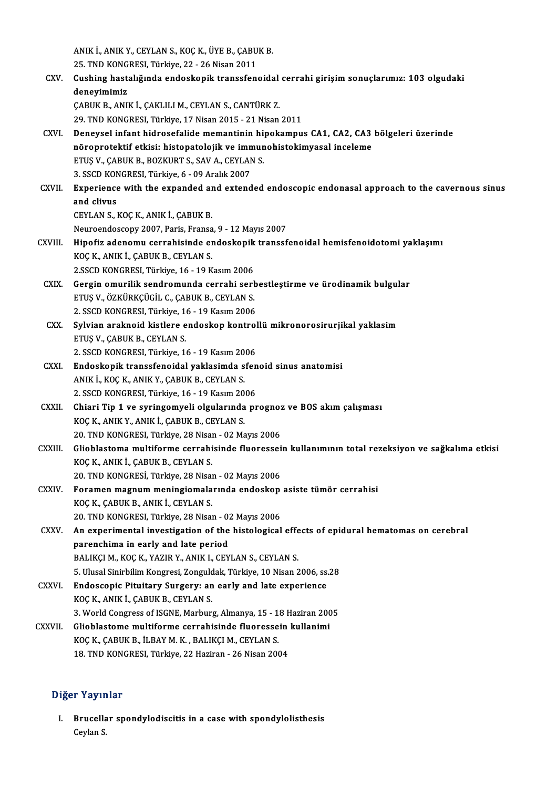ANIK İ., ANIK Y., CEYLAN S., KOÇ K., ÜYE B., ÇABUK B.<br>25. TND KONCRESI, Türkiye 22, 26 Nisan 2011 ANIK İ., ANIK Y., CEYLAN S., KOÇ K., ÜYE B., ÇABU<br>25. TND KONGRESI, Türkiye, 22 - 26 Nisan 2011<br>Cushing hastalığında endeskenik transafan ANIK İ., ANIK Y., CEYLAN S., KOÇ K., ÜYE B., ÇABUK B.<br>25. TND KONGRESI, Türkiye, 22 - 26 Nisan 2011<br>CXV. Cushing hastalığında endoskopik transsfenoidal cerrahi girişim sonuçlarımız: 103 olgudaki<br>donovimimir. 25. TND KONG<br>Cushing hast:<br>deneyimimiz<br>CABUV B. ANU Cushing hastalığında endoskopik transsfenoidal<br>deneyimimiz<br>ÇABUK B., ANIK İ., ÇAKLILI M., CEYLAN S., CANTÜRK Z.<br>20 TND KONCRESL Türkiye 17 Nisan 2015 - 21 Nisan deneyimimiz<br>ÇABUK B., ANIK İ., ÇAKLILI M., CEYLAN S., CANTÜRK Z.<br>29. TND KONGRESI, Türkiye, 17 Nisan 2015 - 21 Nisan 2011 CABUK B., ANIK İ., ÇAKLILI M., CEYLAN S., CANTÜRK Z.<br>29. TND KONGRESI, Türkiye, 17 Nisan 2015 - 21 Nisan 2011<br>CXVI. Deneysel infant hidrosefalide memantinin hipokampus CA1, CA2, CA3 bölgeleri üzerinde<br>pörenretektif etk 29. TND KONGRESI, Türkiye, 17 Nisan 2015 - 21 Nisan 2011<br>Deneysel infant hidrosefalide memantinin hipokampus CA1, CA2, CA3<br>nöroprotektif etkisi: histopatolojik ve immunohistokimyasal inceleme<br>FTIS V. CAPUV P. POZKUPT S. SA Deneysel infant hidrosefalide memantinin hi<br>nöroprotektif etkisi: histopatolojik ve immun<br>ETUŞ V., ÇABUK B., BOZKURT S., SAV A., CEYLAN S.<br>2. SSCD KONCRESI, Türkiye 6., 99 Arabk 2997 nöroprotektif etkisi: histopatolojik ve immunohistokimyasal inceleme<br>ETUŞ V., ÇABUK B., BOZKURT S., SAV A., CEYLAN S.<br>3. SSCD KONGRESI, Türkiye, 6 - 09 Aralık 2007 ETUȘ V., ÇABUK B., BOZKURT S., SAV A., CEYLAN S.<br>3. SSCD KONGRESI, Türkiye, 6 - 09 Aralık 2007<br>CXVII. Experience with the expanded and extended endoscopic endonasal approach to the cavernous sinus<br>and clivus 3. SSCD KON<br>Experience<br>and clivus<br>CEVI AN S Experience with the expanded are<br>and clivus<br>CEYLAN S., KOÇ K., ANIK İ., ÇABUK B.<br>Nauroandossany 2007, Paris, Exansa and clivus<br>CEYLAN S., KOÇ K., ANIK İ., ÇABUK B.<br>Neuroendoscopy 2007, Paris, Fransa, 9 - 12 Mayıs 2007 CEYLAN S., KOÇ K., ANIK İ., ÇABUK B.<br>Neuroendoscopy 2007, Paris, Fransa, 9 - 12 Mayıs 2007<br>CXVIII. Hipofiz adenomu cerrahisinde endoskopik transsfenoidal hemisfenoidotomi yaklaşımı<br>KOC K. ANIK İ. CABUK B. CEVLAN S KOÇ K., ANIK İ., ÇABUK B., CEYLAN S.<br>2.SSCD KONGRESI, Türkiye, 16 - 19 Kasım 2006 Hipofiz adenomu cerrahisinde endoskopik<br>KOÇ K., ANIK İ., ÇABUK B., CEYLAN S.<br>2.SSCD KONGRESI, Türkiye, 16 - 19 Kasım 2006<br>Cerzin emunilik sandromunda serrahi sark KOÇ K., ANIK İ., ÇABUK B., CEYLAN S.<br>2.SSCD KONGRESI, Türkiye, 16 - 19 Kasım 2006<br>CXIX. Gergin omurilik sendromunda cerrahi serbestleştirme ve ürodinamik bulgular<br>FTUS V. ÖZKÜDKCÜCU C. CABUK B. CEVLAN S. 2.SSCD KONGRESI, Türkiye, 16 - 19 Kasım 2006<br>Gergin omurilik sendromunda cerrahi serle<br>ETUŞ V., ÖZKÜRKÇÜGİL C., ÇABUK B., CEYLAN S.<br>2. SSCD KONGRESI Türkiye, 16 - 10 Kasım 2006 Gergin omurilik sendromunda cerrahi serb<br>ETUŞ V., ÖZKÜRKÇÜGİL C., ÇABUK B., CEYLAN S.<br>2. SSCD KONGRESI, Türkiye, 16 - 19 Kasım 2006<br>Sylvian aralmaid kistlara andasılan kantral ETUŞ V., ÖZKÜRKÇÜGİL C., ÇABUK B., CEYLAN S.<br>2. SSCD KONGRESI, Türkiye, 16 - 19 Kasım 2006<br>CXX. Sylvian araknoid kistlere endoskop kontrollü mikronorosirurjikal yaklasim<br>ETUS V. CABUK B. CEVLAN S 2. SSCD KONGRESI, Türkiye, 1<br>Sylvian araknoid kistlere e<br>ETUŞ V., ÇABUK B., CEYLAN S.<br>2. SSCD KONCRESI, Türkiye, 14 Sylvian araknoid kistlere endoskop kontrol<br>ETUŞ V., ÇABUK B., CEYLAN S.<br>2. SSCD KONGRESI, Türkiye, 16 - 19 Kasım 2006<br>Endoskopik transsfonaidal yaklasımda sfon ETUŞ V., ÇABUK B., CEYLAN S.<br>2. SSCD KONGRESI, Türkiye, 16 - 19 Kasım 2006<br>CXXI. Endoskopik transsfenoidal yaklasimda sfenoid sinus anatomisi 2. SSCD KONGRESI, Türkiye, 16 - 19 Kasım 20<br>Endoskopik transsfenoidal yaklasımda s<br>ANIK İ., KOÇ K., ANIK Y., ÇABUK B., CEYLAN S.<br>2. SSCD KONGRESI, Türkiye, 16 - 19 Kasım 20. Endoskopik transsfenoidal yaklasimda sfen<br>ANIK İ., KOÇ K., ANIK Y., ÇABUK B., CEYLAN S.<br>2. SSCD KONGRESI, Türkiye, 16 - 19 Kasım 2006<br>Chiari Tin 1 ve suringamuali algularında ar ANIK İ., KOÇ K., ANIK Y., ÇABUK B., CEYLAN S.<br>2. SSCD KONGRESI, Türkiye, 16 - 19 Kasım 2006<br>CXXII. Chiari Tip 1 ve syringomyeli olgularında prognoz ve BOS akım çalışması<br>KOÇ K., ANIK Y., ANIK İ., ÇABUK B., CEYLAN S. 2. SSCD KONGRESI, Türkiye, 16 - 19 Kasım 2006 Chiari Tip 1 ve syringomyeli olgularında prognoz<br>KOÇ K., ANIK Y., ANIK İ., ÇABUK B., CEYLAN S.<br>20. TND KONGRESI, Türkiye, 28 Nisan - 02 Mayıs 2006<br>Clichlastoma multiforma sarrabisinda fluaressai KOÇ K., ANIK Y., ANIK İ., ÇABUK B., CEYLAN S.<br>20. TND KONGRESI, Türkiye, 28 Nisan - 02 Mayıs 2006<br>CXXIII. Glioblastoma multiforme cerrahisinde fluoressein kullanımının total rezeksiyon ve sağkalıma etkisi 20. TND KONGRESI, Türkiye, 28 Nisai<br>Glioblastoma multiforme cerrahi<br>KOÇ K., ANIK İ., ÇABUK B., CEYLAN S.<br>20. TND KONGRESİ, Türkiye 28 Nisai 3 Glioblastoma multiforme cerrahisinde fluoressei<br>KOÇ K., ANIK İ., ÇABUK B., CEYLAN S.<br>20. TND KONGRESİ, Türkiye, 28 Nisan - 02 Mayıs 2006<br>Feraman magnum maningiamalarında andaskan KOÇ K., ANIK İ., ÇABUK B., CEYLAN S.<br>20. TND KONGRESİ, Türkiye, 28 Nisan - 02 Mayıs 2006<br>CXXIV. Foramen magnum meningiomalarında endoskop asiste tümör cerrahisi<br>KOC K. CABUK B. ANIK İ. CEVLAN S. 20. TND KONGRESİ, Türkiye, 28 Nisar<br>Foramen magnum meningiomala<br>KOÇ K., ÇABUK B., ANIK İ., CEYLAN S.<br>20. TND KONGRESI, Türkiye, 28 Nisar Foramen magnum meningiomalarında endoskop<br>KOÇ K., ÇABUK B., ANIK İ., CEYLAN S.<br>20. TND KONGRESI, Türkiye, 28 Nisan - 02 Mayıs 2006<br>An evnenimental investigation of the histological KOÇ K., ÇABUK B., ANIK İ., CEYLAN S.<br>20. TND KONGRESI, Türkiye, 28 Nisan - 02 Mayıs 2006<br>CXXV. An experimental investigation of the histological effects of epidural hematomas on cerebral<br>parenchima in early and late pe 20. TND KONGRESI, Türkiye, 28 Nisan - 02 Mayıs 2006 BALIKÇI M., KOÇ K., YAZIR Y., ANIK I., CEYLAN S., CEYLAN S. 5. Ulusal Sinirbilim Kongresi, Zonguldak, Türkiye, 10 Nisan 2006, ss.28 CXXVI. Endoscopic Pituitary Surgery: an early and late experience KOÇ K., ANIK İ., ÇABUK B., CEYLAN S. Endoscopic Pituitary Surgery: an early and late experience<br>KOÇ K., ANIK İ., ÇABUK B., CEYLAN S.<br>3. World Congress of ISGNE, Marburg, Almanya, 15 - 18 Haziran 2005<br>Clichlastome multiforme serrebisinde fluoressein kullanimi KOÇ K., ANIK İ., ÇABUK B., CEYLAN S.<br>3. World Congress of ISGNE, Marburg, Almanya, 15 - 18 Haziran 200<br>CXXVII. Glioblastome multiforme cerrahisinde fluoressein kullanimi<br>YOC V. CABUV B. İLBAV M. V. BALIVCLM, CEVLAN S. 3. World Congress of ISGNE, Marburg, Almanya, 15 - 1<br>Glioblastome multiforme cerrahisinde fluoresse<br>KOÇ K., ÇABUK B., İLBAY M. K. , BALIKÇI M., CEYLAN S.<br>19. TND KONGRESI, Türkiye 22 Hariran, 26 Nisan 200 CXXVII. Glioblastome multiforme cerrahisinde fluoressein kullanimi<br>KOÇ K., ÇABUK B., İLBAY M. K., BALIKÇI M., CEYLAN S.<br>18. TND KONGRESI, Türkiye, 22 Haziran - 26 Nisan 2004

## Diğer Yayınlar

iğer Yayınlar<br>I. Brucellar spondylodiscitis in a case with spondylolisthesis<br>Caylan S n nayn:<br>Brucella<br>Ceylan S.